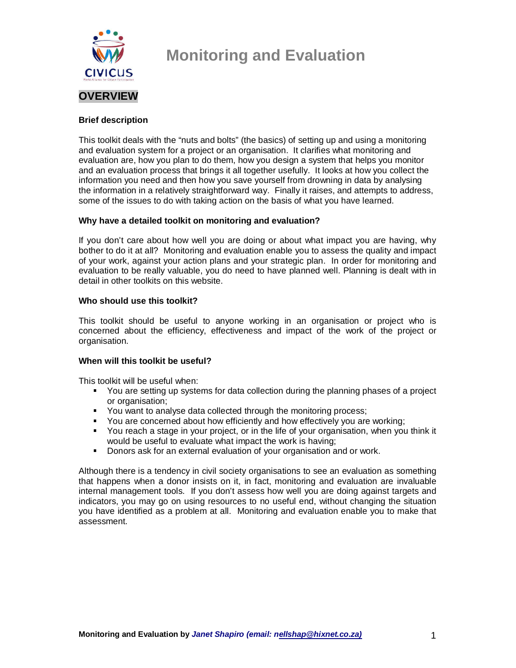

### **Brief description**

This toolkit deals with the "nuts and bolts" (the basics) of setting up and using a monitoring and evaluation system for a project or an organisation. It clarifies what monitoring and evaluation are, how you plan to do them, how you design a system that helps you monitor and an evaluation process that brings it all together usefully. It looks at how you collect the information you need and then how you save yourself from drowning in data by analysing the information in a relatively straightforward way. Finally it raises, and attempts to address, some of the issues to do with taking action on the basis of what you have learned.

### **Why have a detailed toolkit on monitoring and evaluation?**

If you don't care about how well you are doing or about what impact you are having, why bother to do it at all? Monitoring and evaluation enable you to assess the quality and impact of your work, against your action plans and your strategic plan. In order for monitoring and evaluation to be really valuable, you do need to have planned well. Planning is dealt with in detail in other toolkits on this website.

#### **Who should use this toolkit?**

This toolkit should be useful to anyone working in an organisation or project who is concerned about the efficiency, effectiveness and impact of the work of the project or organisation.

### **When will this toolkit be useful?**

This toolkit will be useful when:

- You are setting up systems for data collection during the planning phases of a project or organisation:
- You want to analyse data collected through the monitoring process;
- You are concerned about how efficiently and how effectively you are working;
- You reach a stage in your project, or in the life of your organisation, when you think it would be useful to evaluate what impact the work is having;
- **Donors ask for an external evaluation of your organisation and or work.**

Although there is a tendency in civil society organisations to see an evaluation as something that happens when a donor insists on it, in fact, monitoring and evaluation are invaluable internal management tools. If you don't assess how well you are doing against targets and indicators, you may go on using resources to no useful end, without changing the situation you have identified as a problem at all. Monitoring and evaluation enable you to make that assessment.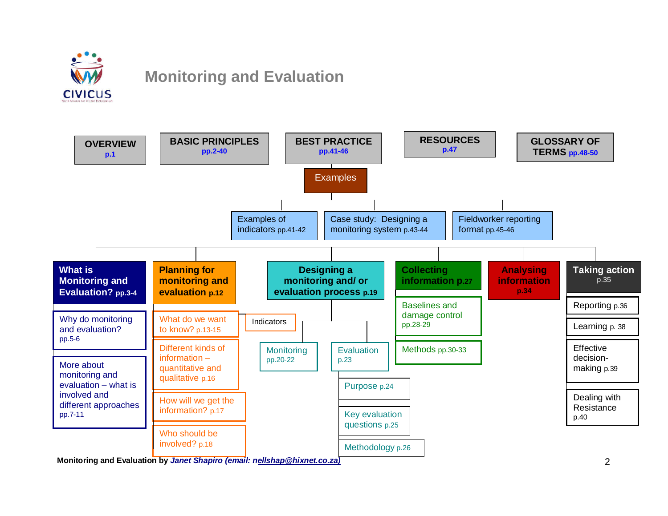



2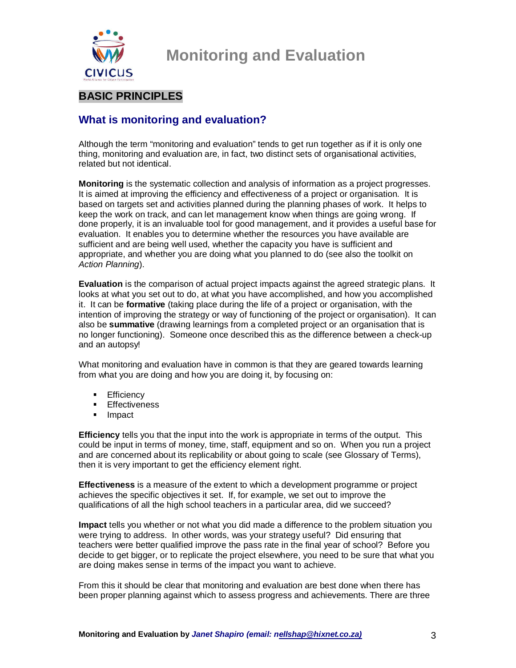

### **BASIC PRINCIPLES**

### **What is monitoring and evaluation?**

Although the term "monitoring and evaluation" tends to get run together as if it is only one thing, monitoring and evaluation are, in fact, two distinct sets of organisational activities, related but not identical.

**Monitoring** is the systematic collection and analysis of information as a project progresses. It is aimed at improving the efficiency and effectiveness of a project or organisation. It is based on targets set and activities planned during the planning phases of work. It helps to keep the work on track, and can let management know when things are going wrong. If done properly, it is an invaluable tool for good management, and it provides a useful base for evaluation. It enables you to determine whether the resources you have available are sufficient and are being well used, whether the capacity you have is sufficient and appropriate, and whether you are doing what you planned to do (see also the toolkit on Action Planning).

**Evaluation** is the comparison of actual project impacts against the agreed strategic plans. It looks at what you set out to do, at what you have accomplished, and how you accomplished it. It can be **formative** (taking place during the life of a project or organisation, with the intention of improving the strategy or way of functioning of the project or organisation). It can also be **summative** (drawing learnings from a completed project or an organisation that is no longer functioning). Someone once described this as the difference between a check-up and an autopsy!

What monitoring and evaluation have in common is that they are geared towards learning from what you are doing and how you are doing it, by focusing on:

- **Efficiency**
- **Effectiveness**
- **Impact**

**Efficiency** tells you that the input into the work is appropriate in terms of the output. This could be input in terms of money, time, staff, equipment and so on. When you run a project and are concerned about its replicability or about going to scale (see Glossary of Terms), then it is very important to get the efficiency element right.

**Effectiveness** is a measure of the extent to which a development programme or project achieves the specific objectives it set. If, for example, we set out to improve the qualifications of all the high school teachers in a particular area, did we succeed?

**Impact** tells you whether or not what you did made a difference to the problem situation you were trying to address. In other words, was your strategy useful? Did ensuring that teachers were better qualified improve the pass rate in the final year of school? Before you decide to get bigger, or to replicate the project elsewhere, you need to be sure that what you are doing makes sense in terms of the impact you want to achieve.

From this it should be clear that monitoring and evaluation are best done when there has been proper planning against which to assess progress and achievements. There are three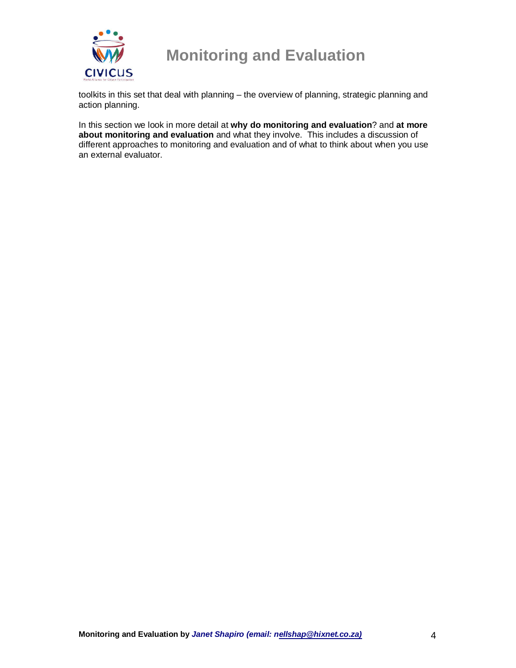

toolkits in this set that deal with planning – the overview of planning, strategic planning and action planning.

In this section we look in more detail at **why do monitoring and evaluation**? and **at more about monitoring and evaluation** and what they involve. This includes a discussion of different approaches to monitoring and evaluation and of what to think about when you use an external evaluator.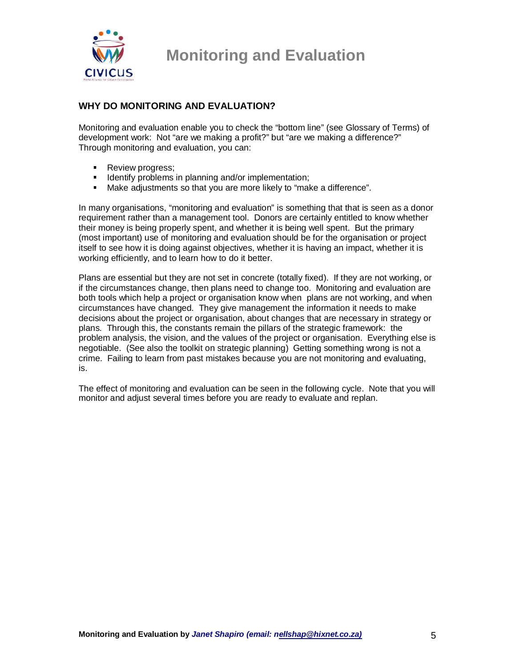

### **WHY DO MONITORING AND EVALUATION?**

Monitoring and evaluation enable you to check the "bottom line" (see Glossary of Terms) of development work: Not "are we making a profit?" but "are we making a difference?" Through monitoring and evaluation, you can:

- **Review progress;**
- **IDENTIFY FROM IDENTIFY IN THE INCOCO EXAMPLEM** IDENTIFY IDENTIFY IDENTIFY IDENTIFY IDENTIFY IDENTIFY IDENTIFY IDENTIFY IDENTIFY IDENTIFY IDENTIFY IDENTIFY IDENTIFY IDENTIFY IDENTIFY IDENTIFY IDENTIFY IDENTIFY IDENTIFY IDE
- Make adjustments so that you are more likely to "make a difference".

In many organisations, "monitoring and evaluation" is something that that is seen as a donor requirement rather than a management tool. Donors are certainly entitled to know whether their money is being properly spent, and whether it is being well spent. But the primary (most important) use of monitoring and evaluation should be for the organisation or project itself to see how it is doing against objectives, whether it is having an impact, whether it is working efficiently, and to learn how to do it better.

Plans are essential but they are not set in concrete (totally fixed). If they are not working, or if the circumstances change, then plans need to change too. Monitoring and evaluation are both tools which help a project or organisation know when plans are not working, and when circumstances have changed. They give management the information it needs to make decisions about the project or organisation, about changes that are necessary in strategy or plans. Through this, the constants remain the pillars of the strategic framework: the problem analysis, the vision, and the values of the project or organisation. Everything else is negotiable. (See also the toolkit on strategic planning) Getting something wrong is not a crime. Failing to learn from past mistakes because you are not monitoring and evaluating, is.

The effect of monitoring and evaluation can be seen in the following cycle. Note that you will monitor and adjust several times before you are ready to evaluate and replan.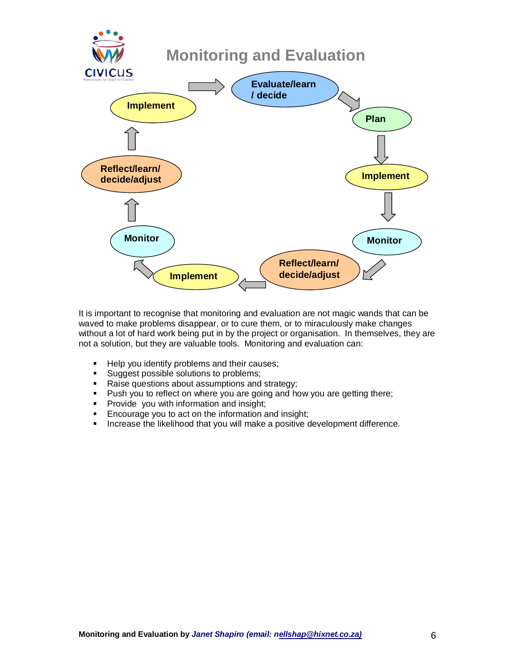

It is important to recognise that monitoring and evaluation are not magic wands that can be waved to make problems disappear, or to cure them, or to miraculously make changes without a lot of hard work being put in by the project or organisation. In themselves, they are not a solution, but they are valuable tools. Monitoring and evaluation can:

- Help you identify problems and their causes;
- **Suggest possible solutions to problems;**
- Raise questions about assumptions and strategy;
- **Push you to reflect on where you are going and how you are getting there;**
- **Provide you with information and insight;**
- **Encourage you to act on the information and insight;**
- **Increase the likelihood that you will make a positive development difference.**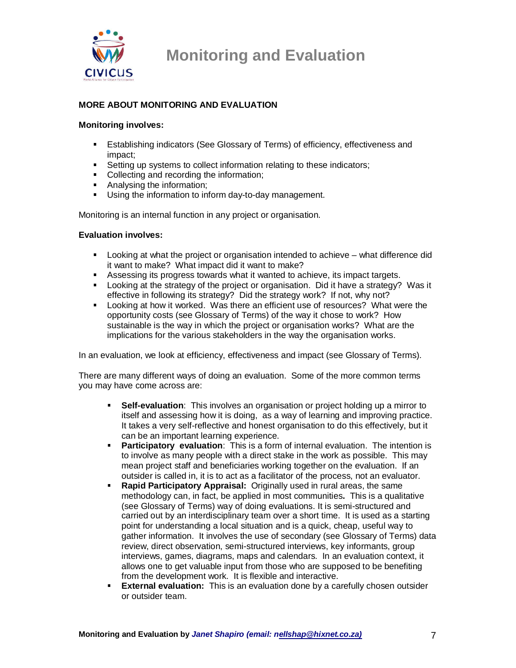

### **MORE ABOUT MONITORING AND EVALUATION**

#### **Monitoring involves:**

- Establishing indicators (See Glossary of Terms) of efficiency, effectiveness and impact;
- Setting up systems to collect information relating to these indicators;
- Collecting and recording the information;
- **Analysing the information;**
- Using the information to inform day-to-day management.

Monitoring is an internal function in any project or organisation.

#### **Evaluation involves:**

- Looking at what the project or organisation intended to achieve what difference did it want to make? What impact did it want to make?
- Assessing its progress towards what it wanted to achieve, its impact targets.
- **Looking at the strategy of the project or organisation.** Did it have a strategy? Was it effective in following its strategy? Did the strategy work? If not, why not?
- Looking at how it worked. Was there an efficient use of resources? What were the opportunity costs (see Glossary of Terms) of the way it chose to work? How sustainable is the way in which the project or organisation works? What are the implications for the various stakeholders in the way the organisation works.

In an evaluation, we look at efficiency, effectiveness and impact (see Glossary of Terms).

There are many different ways of doing an evaluation. Some of the more common terms you may have come across are:

- **Self-evaluation**: This involves an organisation or project holding up a mirror to itself and assessing how it is doing, as a way of learning and improving practice. It takes a very self-reflective and honest organisation to do this effectively, but it can be an important learning experience.
- **Participatory evaluation**: This is a form of internal evaluation. The intention is to involve as many people with a direct stake in the work as possible. This may mean project staff and beneficiaries working together on the evaluation. If an outsider is called in, it is to act as a facilitator of the process, not an evaluator.
- **Rapid Participatory Appraisal:** Originally used in rural areas, the same methodology can, in fact, be applied in most communities**.** This is a qualitative (see Glossary of Terms) way of doing evaluations. It is semi-structured and carried out by an interdisciplinary team over a short time. It is used as a starting point for understanding a local situation and is a quick, cheap, useful way to gather information. It involves the use of secondary (see Glossary of Terms) data review, direct observation, semi-structured interviews, key informants, group interviews, games, diagrams, maps and calendars. In an evaluation context, it allows one to get valuable input from those who are supposed to be benefiting from the development work. It is flexible and interactive.
- **External evaluation:** This is an evaluation done by a carefully chosen outsider or outsider team.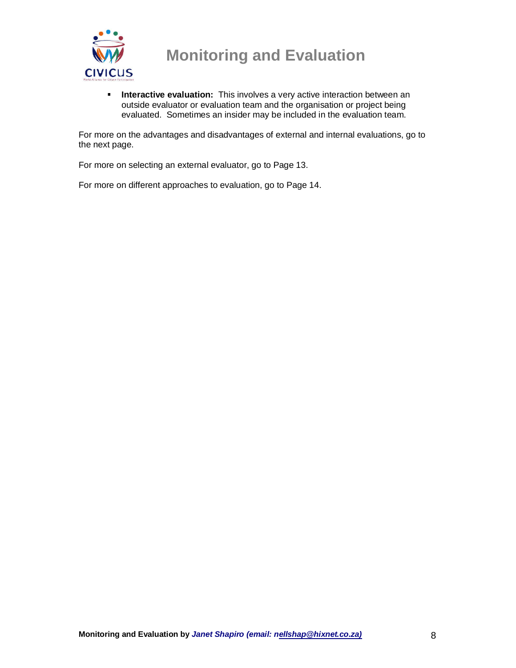

**Interactive evaluation:** This involves a very active interaction between an outside evaluator or evaluation team and the organisation or project being evaluated. Sometimes an insider may be included in the evaluation team.

For more on the advantages and disadvantages of external and internal evaluations, go to the next page.

For more on selecting an external evaluator, go to Page 13.

For more on different approaches to evaluation, go to Page 14.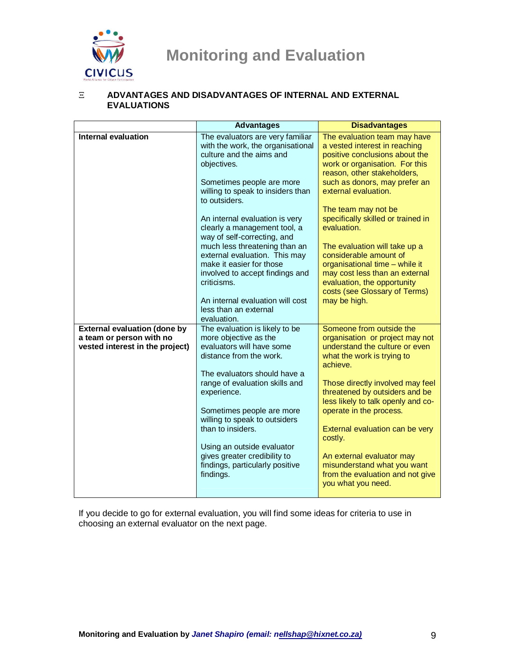

### Ξ **ADVANTAGES AND DISADVANTAGES OF INTERNAL AND EXTERNAL EVALUATIONS**

|                                     | <b>Advantages</b>                                                                                                                            | <b>Disadvantages</b>                                                                                                                                             |
|-------------------------------------|----------------------------------------------------------------------------------------------------------------------------------------------|------------------------------------------------------------------------------------------------------------------------------------------------------------------|
| <b>Internal evaluation</b>          | The evaluators are very familiar<br>with the work, the organisational<br>culture and the aims and<br>objectives.                             | The evaluation team may have<br>a vested interest in reaching<br>positive conclusions about the<br>work or organisation. For this<br>reason, other stakeholders, |
|                                     | Sometimes people are more<br>willing to speak to insiders than<br>to outsiders.                                                              | such as donors, may prefer an<br>external evaluation.<br>The team may not be                                                                                     |
|                                     | An internal evaluation is very<br>clearly a management tool, a<br>way of self-correcting, and                                                | specifically skilled or trained in<br>evaluation.                                                                                                                |
|                                     | much less threatening than an<br>external evaluation. This may<br>make it easier for those<br>involved to accept findings and<br>criticisms. | The evaluation will take up a<br>considerable amount of<br>organisational time - while it<br>may cost less than an external<br>evaluation, the opportunity       |
|                                     | An internal evaluation will cost<br>less than an external<br>evaluation.                                                                     | costs (see Glossary of Terms)<br>may be high.                                                                                                                    |
| <b>External evaluation (done by</b> | The evaluation is likely to be                                                                                                               | Someone from outside the                                                                                                                                         |
| a team or person with no            | more objective as the<br>evaluators will have some                                                                                           | organisation or project may not<br>understand the culture or even                                                                                                |
| vested interest in the project)     | distance from the work.<br>The evaluators should have a                                                                                      | what the work is trying to<br>achieve.                                                                                                                           |
|                                     | range of evaluation skills and<br>experience.                                                                                                | Those directly involved may feel<br>threatened by outsiders and be<br>less likely to talk openly and co-                                                         |
|                                     | Sometimes people are more<br>willing to speak to outsiders<br>than to insiders.                                                              | operate in the process.<br>External evaluation can be very                                                                                                       |
|                                     | Using an outside evaluator                                                                                                                   | costly.                                                                                                                                                          |
|                                     | gives greater credibility to<br>findings, particularly positive<br>findings.                                                                 | An external evaluator may<br>misunderstand what you want<br>from the evaluation and not give<br>you what you need.                                               |

If you decide to go for external evaluation, you will find some ideas for criteria to use in choosing an external evaluator on the next page.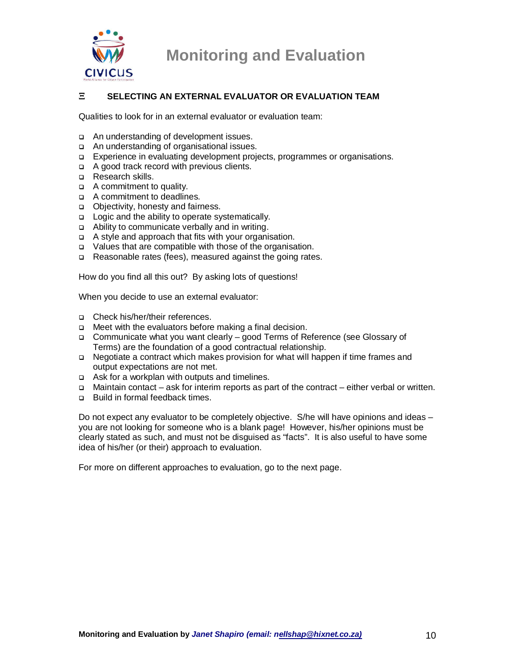

### Ξ **SELECTING AN EXTERNAL EVALUATOR OR EVALUATION TEAM**

Qualities to look for in an external evaluator or evaluation team:

- An understanding of development issues.
- An understanding of organisational issues.
- Experience in evaluating development projects, programmes or organisations.
- A good track record with previous clients.
- □ Research skills.
- A commitment to quality.
- A commitment to deadlines.
- Objectivity, honesty and fairness.
- □ Logic and the ability to operate systematically.
- Ability to communicate verbally and in writing.
- A style and approach that fits with your organisation.
- Values that are compatible with those of the organisation.
- □ Reasonable rates (fees), measured against the going rates.

How do you find all this out? By asking lots of questions!

When you decide to use an external evaluator:

- Check his/her/their references.
- □ Meet with the evaluators before making a final decision.
- Communicate what you want clearly good Terms of Reference (see Glossary of Terms) are the foundation of a good contractual relationship.
- Negotiate a contract which makes provision for what will happen if time frames and output expectations are not met.
- Ask for a workplan with outputs and timelines.
- Maintain contact ask for interim reports as part of the contract either verbal or written.
- □ Build in formal feedback times.

Do not expect any evaluator to be completely objective. S/he will have opinions and ideas – you are not looking for someone who is a blank page! However, his/her opinions must be clearly stated as such, and must not be disguised as "facts". It is also useful to have some idea of his/her (or their) approach to evaluation.

For more on different approaches to evaluation, go to the next page.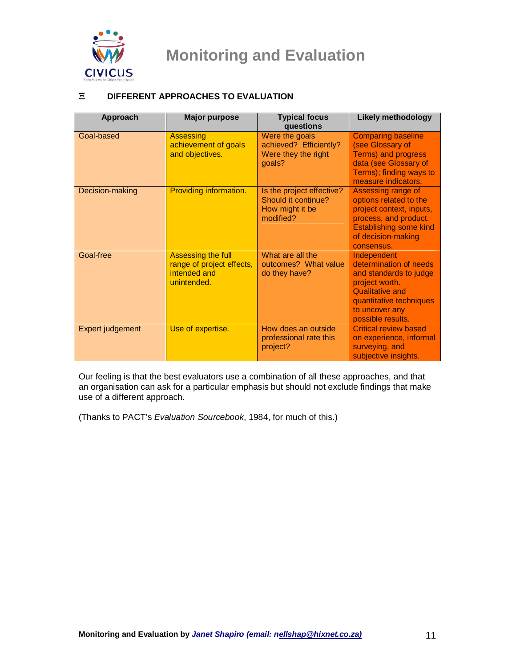

### Ξ **DIFFERENT APPROACHES TO EVALUATION**

| Approach         | <b>Major purpose</b>                                                           | <b>Typical focus</b><br>questions                                                | <b>Likely methodology</b>                                                                                                                                                     |
|------------------|--------------------------------------------------------------------------------|----------------------------------------------------------------------------------|-------------------------------------------------------------------------------------------------------------------------------------------------------------------------------|
| Goal-based       | <b>Assessing</b><br>achievement of goals<br>and objectives.                    | Were the goals<br>achieved? Efficiently?<br>Were they the right<br>goals?        | <b>Comparing baseline</b><br>(see Glossary of<br><b>Terms) and progress</b><br>data (see Glossary of<br>Terms); finding ways to<br>measure indicators.                        |
| Decision-making  | Providing information.                                                         | Is the project effective?<br>Should it continue?<br>How might it be<br>modified? | Assessing range of<br>options related to the<br>project context, inputs,<br>process, and product.<br><b>Establishing some kind</b><br>of decision-making<br>consensus.        |
| Goal-free        | Assessing the full<br>range of project effects,<br>intended and<br>unintended. | What are all the<br>outcomes? What value<br>do they have?                        | Independent<br>determination of needs<br>and standards to judge<br>project worth.<br><b>Qualitative and</b><br>quantitative techniques<br>to uncover any<br>possible results. |
| Expert judgement | Use of expertise.                                                              | How does an outside<br>professional rate this<br>project?                        | <b>Critical review based</b><br>on experience, informal<br>surveying, and<br>subjective insights.                                                                             |

Our feeling is that the best evaluators use a combination of all these approaches, and that an organisation can ask for a particular emphasis but should not exclude findings that make use of a different approach.

(Thanks to PACT's Evaluation Sourcebook, 1984, for much of this.)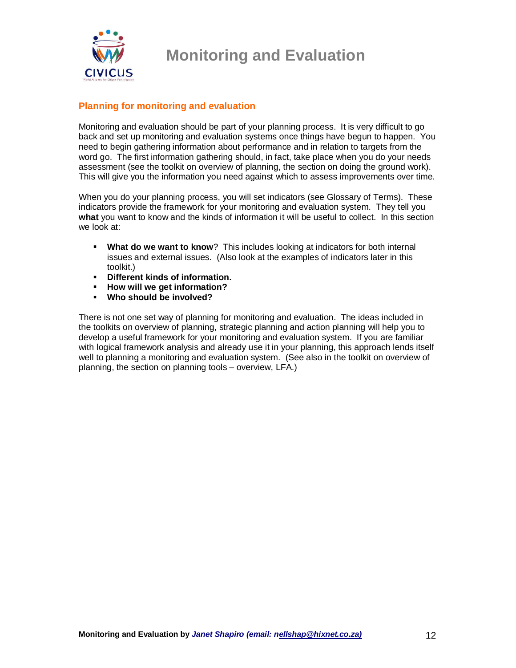

### **Planning for monitoring and evaluation**

Monitoring and evaluation should be part of your planning process. It is very difficult to go back and set up monitoring and evaluation systems once things have begun to happen. You need to begin gathering information about performance and in relation to targets from the word go. The first information gathering should, in fact, take place when you do your needs assessment (see the toolkit on overview of planning, the section on doing the ground work). This will give you the information you need against which to assess improvements over time.

When you do your planning process, you will set indicators (see Glossary of Terms). These indicators provide the framework for your monitoring and evaluation system. They tell you **what** you want to know and the kinds of information it will be useful to collect. In this section we look at:

- **What do we want to know**? This includes looking at indicators for both internal issues and external issues. (Also look at the examples of indicators later in this toolkit.)
- **Different kinds of information.**
- **How will we get information?**
- **Who should be involved?**

There is not one set way of planning for monitoring and evaluation. The ideas included in the toolkits on overview of planning, strategic planning and action planning will help you to develop a useful framework for your monitoring and evaluation system. If you are familiar with logical framework analysis and already use it in your planning, this approach lends itself well to planning a monitoring and evaluation system. (See also in the toolkit on overview of planning, the section on planning tools – overview, LFA.)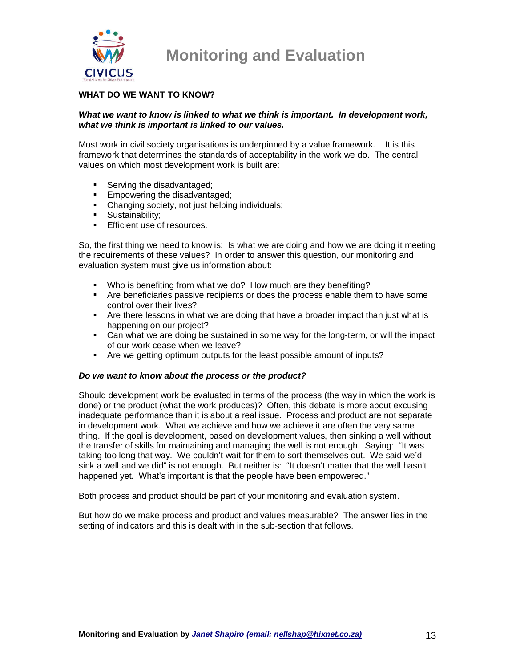

### **WHAT DO WE WANT TO KNOW?**

#### **What we want to know is linked to what we think is important. In development work, what we think is important is linked to our values.**

Most work in civil society organisations is underpinned by a value framework. It is this framework that determines the standards of acceptability in the work we do. The central values on which most development work is built are:

- Serving the disadvantaged;
- **Empowering the disadvantaged;**
- Changing society, not just helping individuals;
- **Sustainability;**
- **Efficient use of resources.**

So, the first thing we need to know is: Is what we are doing and how we are doing it meeting the requirements of these values? In order to answer this question, our monitoring and evaluation system must give us information about:

- Who is benefiting from what we do? How much are they benefiting?
- Are beneficiaries passive recipients or does the process enable them to have some control over their lives?
- Are there lessons in what we are doing that have a broader impact than just what is happening on our project?
- Can what we are doing be sustained in some way for the long-term, or will the impact of our work cease when we leave?
- Are we getting optimum outputs for the least possible amount of inputs?

#### **Do we want to know about the process or the product?**

Should development work be evaluated in terms of the process (the way in which the work is done) or the product (what the work produces)? Often, this debate is more about excusing inadequate performance than it is about a real issue. Process and product are not separate in development work. What we achieve and how we achieve it are often the very same thing. If the goal is development, based on development values, then sinking a well without the transfer of skills for maintaining and managing the well is not enough. Saying: "It was taking too long that way. We couldn't wait for them to sort themselves out. We said we'd sink a well and we did" is not enough. But neither is: "It doesn't matter that the well hasn't happened yet. What's important is that the people have been empowered."

Both process and product should be part of your monitoring and evaluation system.

But how do we make process and product and values measurable? The answer lies in the setting of indicators and this is dealt with in the sub-section that follows.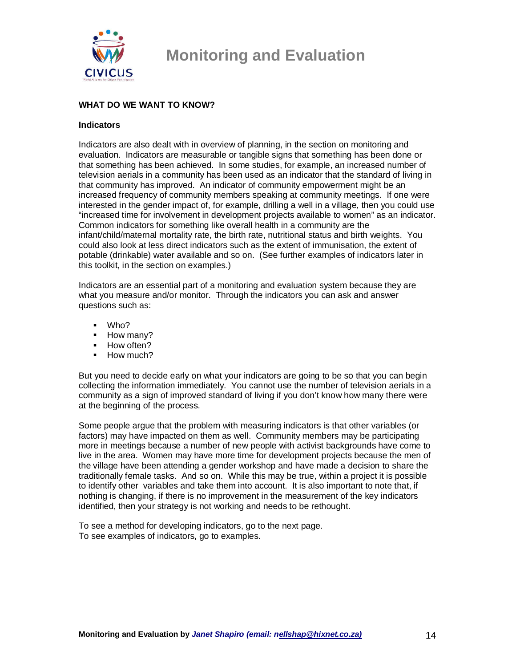

### **WHAT DO WE WANT TO KNOW?**

#### **Indicators**

Indicators are also dealt with in overview of planning, in the section on monitoring and evaluation. Indicators are measurable or tangible signs that something has been done or that something has been achieved. In some studies, for example, an increased number of television aerials in a community has been used as an indicator that the standard of living in that community has improved. An indicator of community empowerment might be an increased frequency of community members speaking at community meetings. If one were interested in the gender impact of, for example, drilling a well in a village, then you could use "increased time for involvement in development projects available to women" as an indicator. Common indicators for something like overall health in a community are the infant/child/maternal mortality rate, the birth rate, nutritional status and birth weights. You could also look at less direct indicators such as the extent of immunisation, the extent of potable (drinkable) water available and so on. (See further examples of indicators later in this toolkit, in the section on examples.)

Indicators are an essential part of a monitoring and evaluation system because they are what you measure and/or monitor. Through the indicators you can ask and answer questions such as:

- Who?
- $-How$  many?
- How often?
- How much?

But you need to decide early on what your indicators are going to be so that you can begin collecting the information immediately. You cannot use the number of television aerials in a community as a sign of improved standard of living if you don't know how many there were at the beginning of the process.

Some people argue that the problem with measuring indicators is that other variables (or factors) may have impacted on them as well. Community members may be participating more in meetings because a number of new people with activist backgrounds have come to live in the area. Women may have more time for development projects because the men of the village have been attending a gender workshop and have made a decision to share the traditionally female tasks. And so on. While this may be true, within a project it is possible to identify other variables and take them into account. It is also important to note that, if nothing is changing, if there is no improvement in the measurement of the key indicators identified, then your strategy is not working and needs to be rethought.

To see a method for developing indicators, go to the next page. To see examples of indicators, go to examples.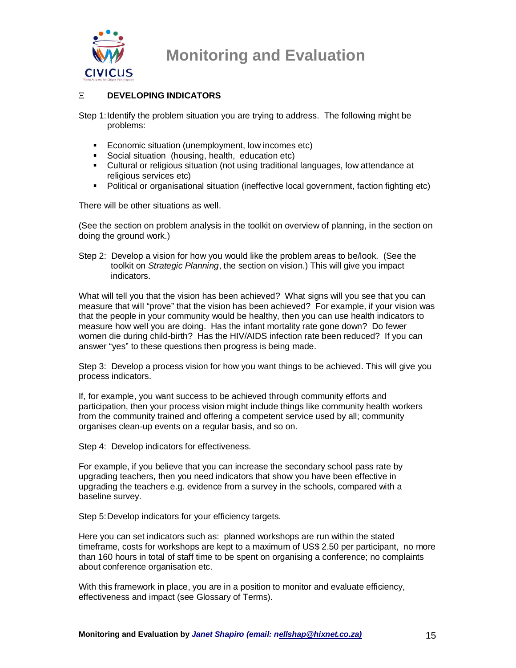

### Ξ **DEVELOPING INDICATORS**

Step 1: Identify the problem situation you are trying to address. The following might be problems:

- **Economic situation (unemployment, low incomes etc)**
- **Social situation (housing, health, education etc)**
- Cultural or religious situation (not using traditional languages, low attendance at religious services etc)
- Political or organisational situation (ineffective local government, faction fighting etc)

There will be other situations as well.

(See the section on problem analysis in the toolkit on overview of planning, in the section on doing the ground work.)

Step 2: Develop a vision for how you would like the problem areas to be/look. (See the toolkit on Strategic Planning, the section on vision.) This will give you impact indicators.

What will tell you that the vision has been achieved? What signs will you see that you can measure that will "prove" that the vision has been achieved? For example, if your vision was that the people in your community would be healthy, then you can use health indicators to measure how well you are doing. Has the infant mortality rate gone down? Do fewer women die during child-birth? Has the HIV/AIDS infection rate been reduced? If you can answer "yes" to these questions then progress is being made.

Step 3: Develop a process vision for how you want things to be achieved. This will give you process indicators.

If, for example, you want success to be achieved through community efforts and participation, then your process vision might include things like community health workers from the community trained and offering a competent service used by all; community organises clean-up events on a regular basis, and so on.

Step 4: Develop indicators for effectiveness.

For example, if you believe that you can increase the secondary school pass rate by upgrading teachers, then you need indicators that show you have been effective in upgrading the teachers e.g. evidence from a survey in the schools, compared with a baseline survey.

Step 5: Develop indicators for your efficiency targets.

Here you can set indicators such as: planned workshops are run within the stated timeframe, costs for workshops are kept to a maximum of US\$ 2.50 per participant, no more than 160 hours in total of staff time to be spent on organising a conference; no complaints about conference organisation etc.

With this framework in place, you are in a position to monitor and evaluate efficiency, effectiveness and impact (see Glossary of Terms).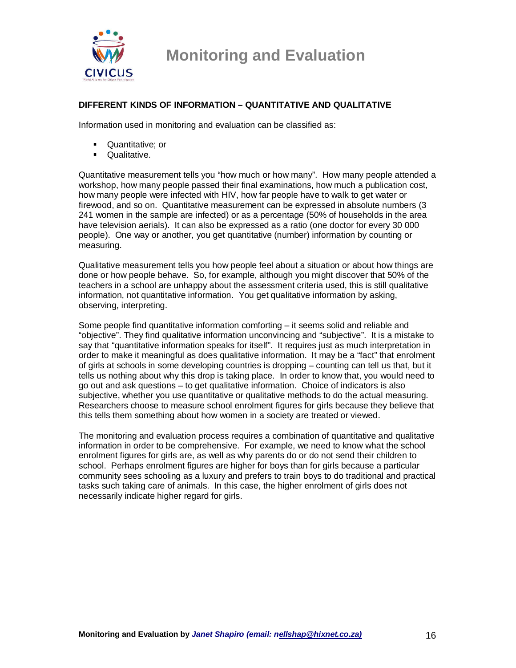

### **DIFFERENT KINDS OF INFORMATION – QUANTITATIVE AND QUALITATIVE**

Information used in monitoring and evaluation can be classified as:

- **Quantitative**; or
- **Qualitative.**

Quantitative measurement tells you "how much or how many". How many people attended a workshop, how many people passed their final examinations, how much a publication cost, how many people were infected with HIV, how far people have to walk to get water or firewood, and so on. Quantitative measurement can be expressed in absolute numbers (3 241 women in the sample are infected) or as a percentage (50% of households in the area have television aerials). It can also be expressed as a ratio (one doctor for every 30 000 people). One way or another, you get quantitative (number) information by counting or measuring.

Qualitative measurement tells you how people feel about a situation or about how things are done or how people behave. So, for example, although you might discover that 50% of the teachers in a school are unhappy about the assessment criteria used, this is still qualitative information, not quantitative information. You get qualitative information by asking, observing, interpreting.

Some people find quantitative information comforting – it seems solid and reliable and "objective". They find qualitative information unconvincing and "subjective". It is a mistake to say that "quantitative information speaks for itself". It requires just as much interpretation in order to make it meaningful as does qualitative information. It may be a "fact" that enrolment of girls at schools in some developing countries is dropping – counting can tell us that, but it tells us nothing about why this drop is taking place. In order to know that, you would need to go out and ask questions – to get qualitative information. Choice of indicators is also subjective, whether you use quantitative or qualitative methods to do the actual measuring. Researchers choose to measure school enrolment figures for girls because they believe that this tells them something about how women in a society are treated or viewed.

The monitoring and evaluation process requires a combination of quantitative and qualitative information in order to be comprehensive. For example, we need to know what the school enrolment figures for girls are, as well as why parents do or do not send their children to school. Perhaps enrolment figures are higher for boys than for girls because a particular community sees schooling as a luxury and prefers to train boys to do traditional and practical tasks such taking care of animals. In this case, the higher enrolment of girls does not necessarily indicate higher regard for girls.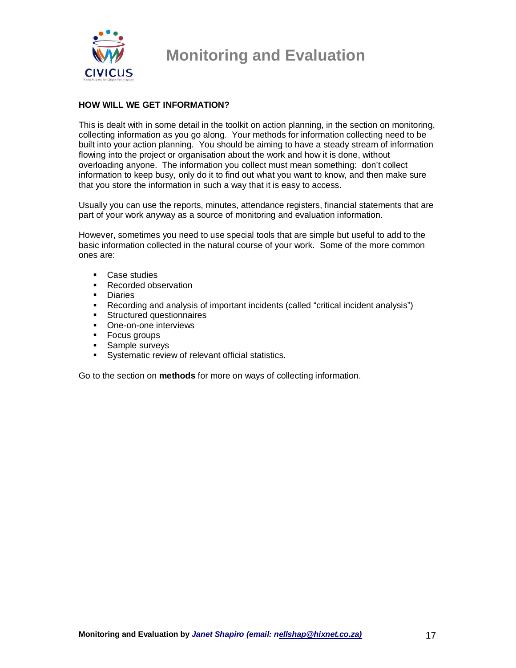

### **HOW WILL WE GET INFORMATION?**

This is dealt with in some detail in the toolkit on action planning, in the section on monitoring, collecting information as you go along. Your methods for information collecting need to be built into your action planning. You should be aiming to have a steady stream of information flowing into the project or organisation about the work and how it is done, without overloading anyone. The information you collect must mean something: don't collect information to keep busy, only do it to find out what you want to know, and then make sure that you store the information in such a way that it is easy to access.

Usually you can use the reports, minutes, attendance registers, financial statements that are part of your work anyway as a source of monitoring and evaluation information.

However, sometimes you need to use special tools that are simple but useful to add to the basic information collected in the natural course of your work. Some of the more common ones are:

- **Case studies**
- Recorded observation
- **Diaries**
- Recording and analysis of important incidents (called "critical incident analysis")<br>Structured questionnaires
- Structured questionnaires
- One-on-one interviews
- **Focus groups**
- **Sample surveys**
- **Systematic review of relevant official statistics.**

Go to the section on **methods** for more on ways of collecting information.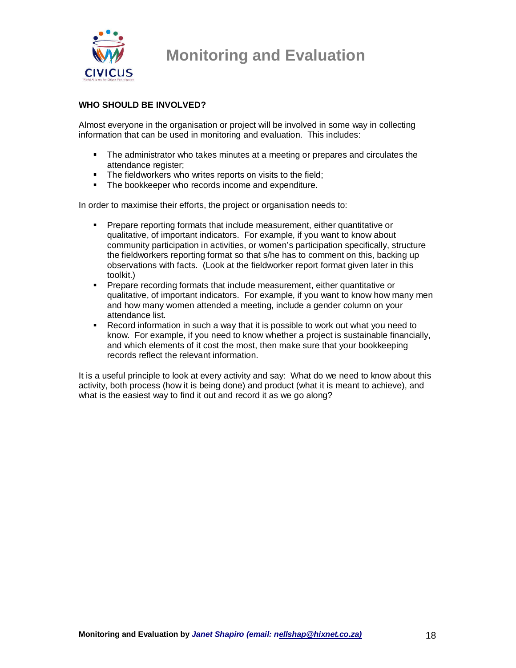

### **WHO SHOULD BE INVOLVED?**

Almost everyone in the organisation or project will be involved in some way in collecting information that can be used in monitoring and evaluation. This includes:

- The administrator who takes minutes at a meeting or prepares and circulates the attendance register;
- The fieldworkers who writes reports on visits to the field;
- The bookkeeper who records income and expenditure.

In order to maximise their efforts, the project or organisation needs to:

- **Prepare reporting formats that include measurement, either quantitative or** qualitative, of important indicators. For example, if you want to know about community participation in activities, or women's participation specifically, structure the fieldworkers reporting format so that s/he has to comment on this, backing up observations with facts. (Look at the fieldworker report format given later in this toolkit.)
- **Prepare recording formats that include measurement, either quantitative or** qualitative, of important indicators. For example, if you want to know how many men and how many women attended a meeting, include a gender column on your attendance list.
- Record information in such a way that it is possible to work out what you need to know. For example, if you need to know whether a project is sustainable financially, and which elements of it cost the most, then make sure that your bookkeeping records reflect the relevant information.

It is a useful principle to look at every activity and say: What do we need to know about this activity, both process (how it is being done) and product (what it is meant to achieve), and what is the easiest way to find it out and record it as we go along?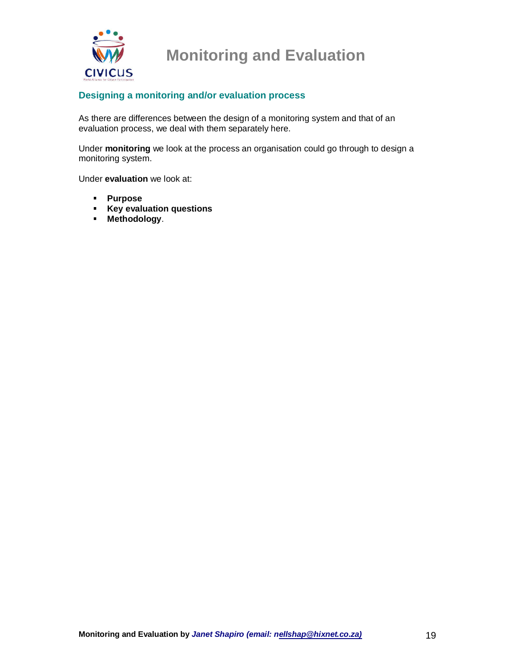

### **Designing a monitoring and/or evaluation process**

As there are differences between the design of a monitoring system and that of an evaluation process, we deal with them separately here.

Under **monitoring** we look at the process an organisation could go through to design a monitoring system.

Under **evaluation** we look at:

- **Purpose**
- **Key evaluation questions**
- **Methodology**.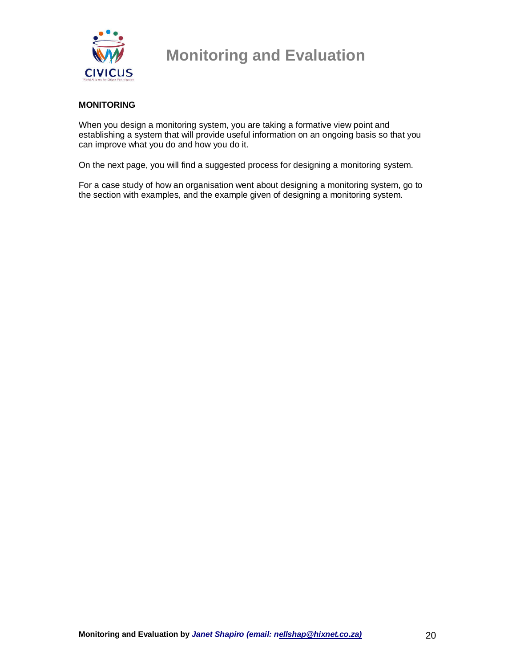

### **MONITORING**

When you design a monitoring system, you are taking a formative view point and establishing a system that will provide useful information on an ongoing basis so that you can improve what you do and how you do it.

On the next page, you will find a suggested process for designing a monitoring system.

For a case study of how an organisation went about designing a monitoring system, go to the section with examples, and the example given of designing a monitoring system.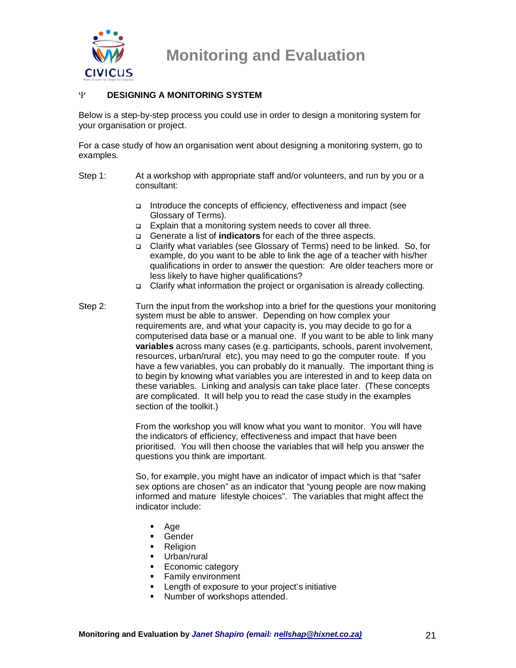

#### Ψ **DESIGNING A MONITORING SYSTEM**

Below is a step-by-step process you could use in order to design a monitoring system for your organisation or project.

For a case study of how an organisation went about designing a monitoring system, go to examples.

- Step 1: At a workshop with appropriate staff and/or volunteers, and run by you or a consultant:
	- $\Box$  Introduce the concepts of efficiency, effectiveness and impact (see Glossary of Terms).
	- □ Explain that a monitoring system needs to cover all three.
	- Generate a list of **indicators** for each of the three aspects.
	- Clarify what variables (see Glossary of Terms) need to be linked. So, for example, do you want to be able to link the age of a teacher with his/her qualifications in order to answer the question: Are older teachers more or less likely to have higher qualifications?
	- □ Clarify what information the project or organisation is already collecting.
- Step 2: Turn the input from the workshop into a brief for the questions your monitoring system must be able to answer. Depending on how complex your requirements are, and what your capacity is, you may decide to go for a computerised data base or a manual one. If you want to be able to link many **variables** across many cases (e.g. participants, schools, parent involvement, resources, urban/rural etc), you may need to go the computer route. If you have a few variables, you can probably do it manually. The important thing is to begin by knowing what variables you are interested in and to keep data on these variables. Linking and analysis can take place later. (These concepts are complicated. It will help you to read the case study in the examples section of the toolkit.)

 From the workshop you will know what you want to monitor. You will have the indicators of efficiency, effectiveness and impact that have been prioritised. You will then choose the variables that will help you answer the questions you think are important.

 So, for example, you might have an indicator of impact which is that "safer sex options are chosen" as an indicator that "young people are now making informed and mature lifestyle choices". The variables that might affect the indicator include:

- Age
- Gender
- **Religion**
- **Urban/rural**
- **Economic category**
- **Family environment**
- **EXECUTE:** Length of exposure to your project's initiative
- **Number of workshops attended.**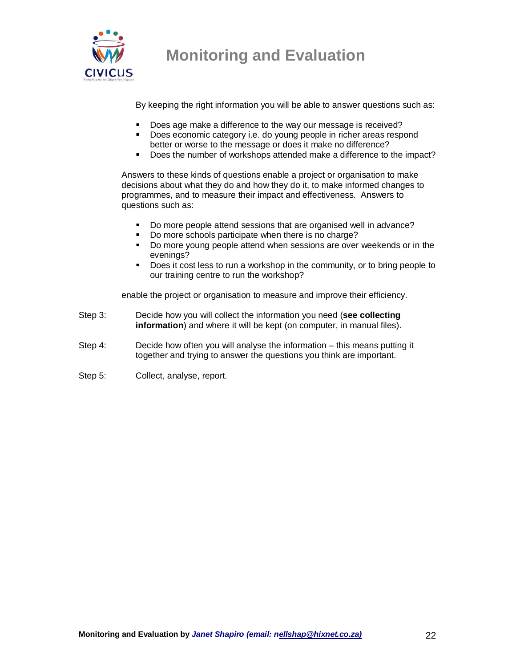

By keeping the right information you will be able to answer questions such as:

- Does age make a difference to the way our message is received?
- Does economic category i.e. do young people in richer areas respond better or worse to the message or does it make no difference?
- Does the number of workshops attended make a difference to the impact?

Answers to these kinds of questions enable a project or organisation to make decisions about what they do and how they do it, to make informed changes to programmes, and to measure their impact and effectiveness. Answers to questions such as:

- Do more people attend sessions that are organised well in advance?
- Do more schools participate when there is no charge?
- Do more young people attend when sessions are over weekends or in the evenings?
- Does it cost less to run a workshop in the community, or to bring people to our training centre to run the workshop?

enable the project or organisation to measure and improve their efficiency.

- Step 3: Decide how you will collect the information you need (**see collecting information**) and where it will be kept (on computer, in manual files).
- Step 4: Decide how often you will analyse the information this means putting it together and trying to answer the questions you think are important.
- Step 5: Collect, analyse, report.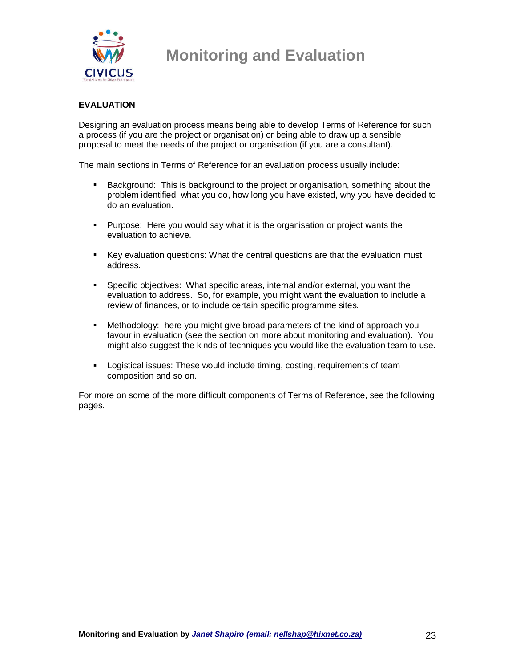

### **EVALUATION**

Designing an evaluation process means being able to develop Terms of Reference for such a process (if you are the project or organisation) or being able to draw up a sensible proposal to meet the needs of the project or organisation (if you are a consultant).

The main sections in Terms of Reference for an evaluation process usually include:

- Background: This is background to the project or organisation, something about the problem identified, what you do, how long you have existed, why you have decided to do an evaluation.
- Purpose: Here you would say what it is the organisation or project wants the evaluation to achieve.
- Key evaluation questions: What the central questions are that the evaluation must address.
- Specific objectives: What specific areas, internal and/or external, you want the evaluation to address. So, for example, you might want the evaluation to include a review of finances, or to include certain specific programme sites.
- Methodology: here you might give broad parameters of the kind of approach you favour in evaluation (see the section on more about monitoring and evaluation). You might also suggest the kinds of techniques you would like the evaluation team to use.
- **Logistical issues: These would include timing, costing, requirements of team** composition and so on.

For more on some of the more difficult components of Terms of Reference, see the following pages.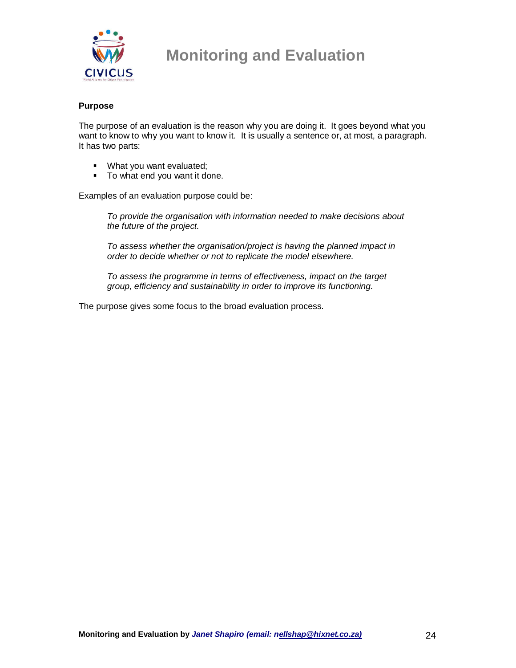

#### **Purpose**

The purpose of an evaluation is the reason why you are doing it. It goes beyond what you want to know to why you want to know it. It is usually a sentence or, at most, a paragraph. It has two parts:

- **What you want evaluated;**
- To what end you want it done.

Examples of an evaluation purpose could be:

To provide the organisation with information needed to make decisions about the future of the project.

To assess whether the organisation/project is having the planned impact in order to decide whether or not to replicate the model elsewhere.

To assess the programme in terms of effectiveness, impact on the target group, efficiency and sustainability in order to improve its functioning.

The purpose gives some focus to the broad evaluation process.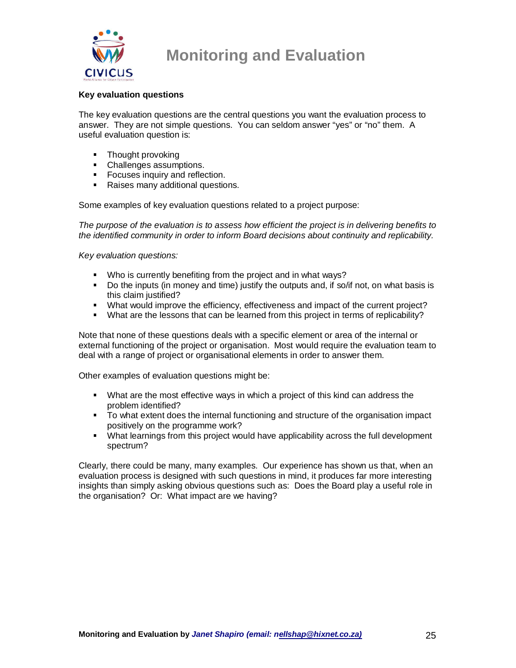

#### **Key evaluation questions**

The key evaluation questions are the central questions you want the evaluation process to answer. They are not simple questions. You can seldom answer "yes" or "no" them. A useful evaluation question is:

- Thought provoking
- **Challenges assumptions.**
- **Focuses inquiry and reflection.**
- **Raises many additional questions.**

Some examples of key evaluation questions related to a project purpose:

The purpose of the evaluation is to assess how efficient the project is in delivering benefits to the identified community in order to inform Board decisions about continuity and replicability.

Key evaluation questions:

- **Who is currently benefiting from the project and in what ways?**
- Do the inputs (in money and time) justify the outputs and, if so/if not, on what basis is this claim justified?
- What would improve the efficiency, effectiveness and impact of the current project?
- What are the lessons that can be learned from this project in terms of replicability?

Note that none of these questions deals with a specific element or area of the internal or external functioning of the project or organisation. Most would require the evaluation team to deal with a range of project or organisational elements in order to answer them.

Other examples of evaluation questions might be:

- What are the most effective ways in which a project of this kind can address the problem identified?
- To what extent does the internal functioning and structure of the organisation impact positively on the programme work?
- **What learnings from this project would have applicability across the full development** spectrum?

Clearly, there could be many, many examples. Our experience has shown us that, when an evaluation process is designed with such questions in mind, it produces far more interesting insights than simply asking obvious questions such as: Does the Board play a useful role in the organisation? Or: What impact are we having?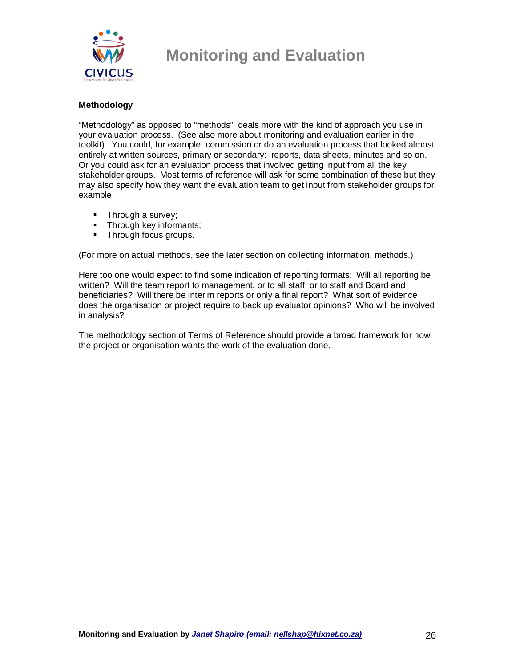

#### **Methodology**

"Methodology" as opposed to "methods" deals more with the kind of approach you use in your evaluation process. (See also more about monitoring and evaluation earlier in the toolkit). You could, for example, commission or do an evaluation process that looked almost entirely at written sources, primary or secondary: reports, data sheets, minutes and so on. Or you could ask for an evaluation process that involved getting input from all the key stakeholder groups. Most terms of reference will ask for some combination of these but they may also specify how they want the evaluation team to get input from stakeholder groups for example:

- Through a survey;
- **Through key informants;**
- **Through focus groups.**

(For more on actual methods, see the later section on collecting information, methods.)

Here too one would expect to find some indication of reporting formats: Will all reporting be written? Will the team report to management, or to all staff, or to staff and Board and beneficiaries? Will there be interim reports or only a final report? What sort of evidence does the organisation or project require to back up evaluator opinions? Who will be involved in analysis?

The methodology section of Terms of Reference should provide a broad framework for how the project or organisation wants the work of the evaluation done.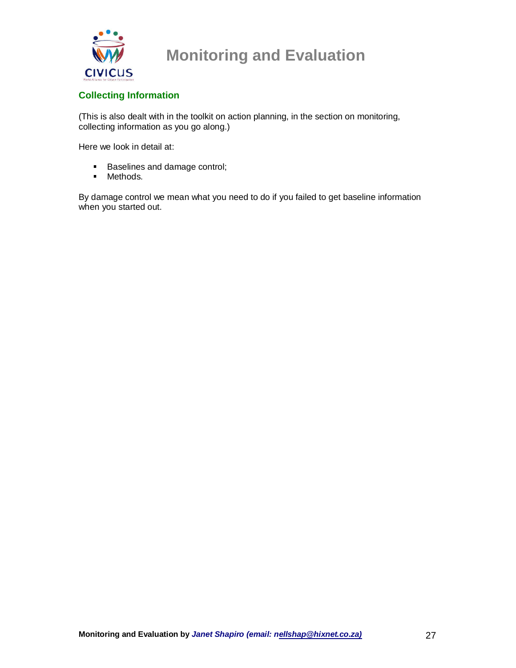

### **Collecting Information**

(This is also dealt with in the toolkit on action planning, in the section on monitoring, collecting information as you go along.)

Here we look in detail at:

- **Baselines and damage control;**
- **Methods.**

By damage control we mean what you need to do if you failed to get baseline information when you started out.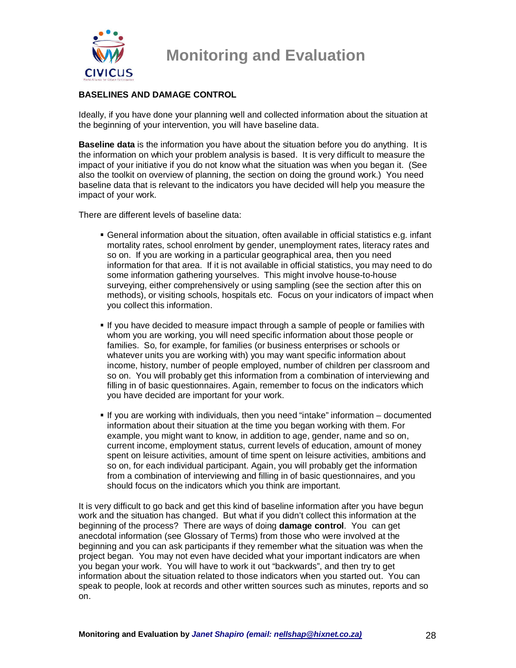

### **BASELINES AND DAMAGE CONTROL**

Ideally, if you have done your planning well and collected information about the situation at the beginning of your intervention, you will have baseline data.

**Baseline data** is the information you have about the situation before you do anything. It is the information on which your problem analysis is based. It is very difficult to measure the impact of your initiative if you do not know what the situation was when you began it. (See also the toolkit on overview of planning, the section on doing the ground work.) You need baseline data that is relevant to the indicators you have decided will help you measure the impact of your work.

There are different levels of baseline data:

- General information about the situation, often available in official statistics e.g. infant mortality rates, school enrolment by gender, unemployment rates, literacy rates and so on. If you are working in a particular geographical area, then you need information for that area. If it is not available in official statistics, you may need to do some information gathering yourselves. This might involve house-to-house surveying, either comprehensively or using sampling (see the section after this on methods), or visiting schools, hospitals etc. Focus on your indicators of impact when you collect this information.
- If you have decided to measure impact through a sample of people or families with whom you are working, you will need specific information about those people or families. So, for example, for families (or business enterprises or schools or whatever units you are working with) you may want specific information about income, history, number of people employed, number of children per classroom and so on. You will probably get this information from a combination of interviewing and filling in of basic questionnaires. Again, remember to focus on the indicators which you have decided are important for your work.
- If you are working with individuals, then you need "intake" information documented information about their situation at the time you began working with them. For example, you might want to know, in addition to age, gender, name and so on, current income, employment status, current levels of education, amount of money spent on leisure activities, amount of time spent on leisure activities, ambitions and so on, for each individual participant. Again, you will probably get the information from a combination of interviewing and filling in of basic questionnaires, and you should focus on the indicators which you think are important.

It is very difficult to go back and get this kind of baseline information after you have begun work and the situation has changed. But what if you didn't collect this information at the beginning of the process? There are ways of doing **damage control**. You can get anecdotal information (see Glossary of Terms) from those who were involved at the beginning and you can ask participants if they remember what the situation was when the project began. You may not even have decided what your important indicators are when you began your work. You will have to work it out "backwards", and then try to get information about the situation related to those indicators when you started out. You can speak to people, look at records and other written sources such as minutes, reports and so on.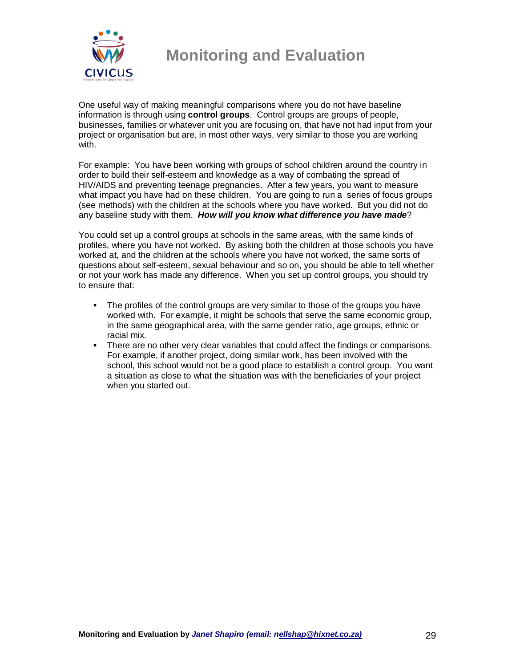

One useful way of making meaningful comparisons where you do not have baseline information is through using **control groups**. Control groups are groups of people, businesses, families or whatever unit you are focusing on, that have not had input from your project or organisation but are, in most other ways, very similar to those you are working with.

For example: You have been working with groups of school children around the country in order to build their self-esteem and knowledge as a way of combating the spread of HIV/AIDS and preventing teenage pregnancies. After a few years, you want to measure what impact you have had on these children. You are going to run a series of focus groups (see methods) with the children at the schools where you have worked. But you did not do any baseline study with them. **How will you know what difference you have made**?

You could set up a control groups at schools in the same areas, with the same kinds of profiles, where you have not worked. By asking both the children at those schools you have worked at, and the children at the schools where you have not worked, the same sorts of questions about self-esteem, sexual behaviour and so on, you should be able to tell whether or not your work has made any difference. When you set up control groups, you should try to ensure that:

- The profiles of the control groups are very similar to those of the groups you have worked with. For example, it might be schools that serve the same economic group, in the same geographical area, with the same gender ratio, age groups, ethnic or racial mix.
- **There are no other very clear variables that could affect the findings or comparisons.** For example, if another project, doing similar work, has been involved with the school, this school would not be a good place to establish a control group. You want a situation as close to what the situation was with the beneficiaries of your project when you started out.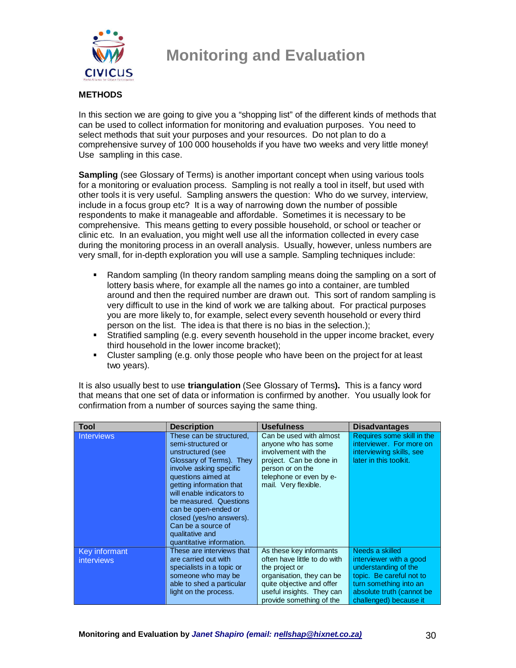

### **METHODS**

In this section we are going to give you a "shopping list" of the different kinds of methods that can be used to collect information for monitoring and evaluation purposes. You need to select methods that suit your purposes and your resources. Do not plan to do a comprehensive survey of 100 000 households if you have two weeks and very little money! Use sampling in this case.

**Sampling** (see Glossary of Terms) is another important concept when using various tools for a monitoring or evaluation process. Sampling is not really a tool in itself, but used with other tools it is very useful. Sampling answers the question: Who do we survey, interview, include in a focus group etc? It is a way of narrowing down the number of possible respondents to make it manageable and affordable. Sometimes it is necessary to be comprehensive. This means getting to every possible household, or school or teacher or clinic etc. In an evaluation, you might well use all the information collected in every case during the monitoring process in an overall analysis. Usually, however, unless numbers are very small, for in-depth exploration you will use a sample. Sampling techniques include:

- Random sampling (In theory random sampling means doing the sampling on a sort of lottery basis where, for example all the names go into a container, are tumbled around and then the required number are drawn out. This sort of random sampling is very difficult to use in the kind of work we are talking about. For practical purposes you are more likely to, for example, select every seventh household or every third person on the list. The idea is that there is no bias in the selection.);
- Stratified sampling (e.g. every seventh household in the upper income bracket, every third household in the lower income bracket);
- Cluster sampling (e.g. only those people who have been on the project for at least two years).

It is also usually best to use **triangulation** (See Glossary of Terms**).** This is a fancy word that means that one set of data or information is confirmed by another. You usually look for confirmation from a number of sources saying the same thing.

| <b>Tool</b>                        | <b>Description</b>                                                                                                                                                                                                                                                                                                                                            | <b>Usefulness</b>                                                                                                                                                        | <b>Disadvantages</b>                                                                                         |
|------------------------------------|---------------------------------------------------------------------------------------------------------------------------------------------------------------------------------------------------------------------------------------------------------------------------------------------------------------------------------------------------------------|--------------------------------------------------------------------------------------------------------------------------------------------------------------------------|--------------------------------------------------------------------------------------------------------------|
| <b>Interviews</b>                  | These can be structured,<br>semi-structured or<br>unstructured (see<br>Glossary of Terms). They<br>involve asking specific<br>questions aimed at<br>getting information that<br>will enable indicators to<br>be measured. Questions<br>can be open-ended or<br>closed (yes/no answers).<br>Can be a source of<br>qualitative and<br>quantitative information. | Can be used with almost<br>anyone who has some<br>involvement with the<br>project. Can be done in<br>person or on the<br>telephone or even by e-<br>mail. Very flexible. | Requires some skill in the<br>interviewer. For more on<br>interviewing skills, see<br>later in this toolkit. |
| Key informant<br><i>interviews</i> | These are interviews that<br>are carried out with                                                                                                                                                                                                                                                                                                             | As these key informants<br>often have little to do with                                                                                                                  | Needs a skilled<br>interviewer with a good                                                                   |
|                                    | specialists in a topic or                                                                                                                                                                                                                                                                                                                                     | the project or                                                                                                                                                           | understanding of the                                                                                         |
|                                    | someone who may be                                                                                                                                                                                                                                                                                                                                            | organisation, they can be                                                                                                                                                | topic. Be careful not to                                                                                     |
|                                    | able to shed a particular                                                                                                                                                                                                                                                                                                                                     | quite objective and offer                                                                                                                                                | turn something into an                                                                                       |
|                                    | light on the process.                                                                                                                                                                                                                                                                                                                                         | useful insights. They can<br>provide something of the                                                                                                                    | absolute truth (cannot be<br>challenged) because it                                                          |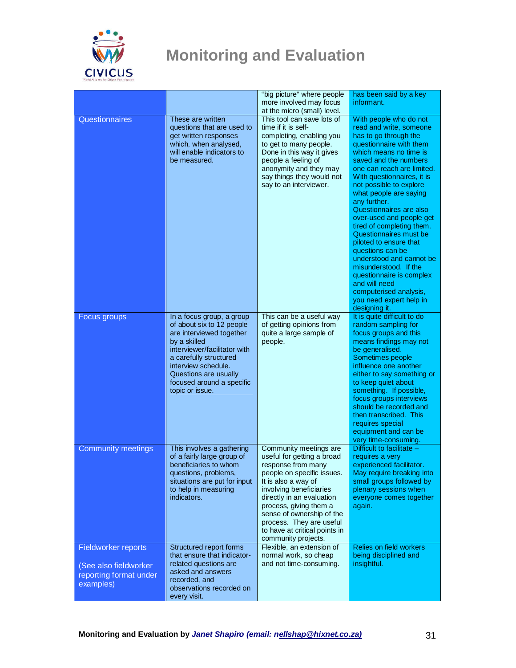

|                                                                                     |                                                                                                                                                                                                                                                              | "big picture" where people<br>more involved may focus<br>at the micro (small) level.                                                                                                                                                                                                                                               | has been said by a key<br>informant.                                                                                                                                                                                                                                                                                                                                                                                                                                                                                                                                                                                          |
|-------------------------------------------------------------------------------------|--------------------------------------------------------------------------------------------------------------------------------------------------------------------------------------------------------------------------------------------------------------|------------------------------------------------------------------------------------------------------------------------------------------------------------------------------------------------------------------------------------------------------------------------------------------------------------------------------------|-------------------------------------------------------------------------------------------------------------------------------------------------------------------------------------------------------------------------------------------------------------------------------------------------------------------------------------------------------------------------------------------------------------------------------------------------------------------------------------------------------------------------------------------------------------------------------------------------------------------------------|
| Questionnaires                                                                      | These are written<br>questions that are used to<br>get written responses<br>which, when analysed,<br>will enable indicators to<br>be measured.                                                                                                               | This tool can save lots of<br>time if it is self-<br>completing, enabling you<br>to get to many people.<br>Done in this way it gives<br>people a feeling of<br>anonymity and they may<br>say things they would not<br>say to an interviewer.                                                                                       | With people who do not<br>read and write, someone<br>has to go through the<br>questionnaire with them<br>which means no time is<br>saved and the numbers<br>one can reach are limited.<br>With questionnaires, it is<br>not possible to explore<br>what people are saying<br>any further.<br>Questionnaires are also<br>over-used and people get<br>tired of completing them.<br>Questionnaires must be<br>piloted to ensure that<br>questions can be<br>understood and cannot be<br>misunderstood. If the<br>questionnaire is complex<br>and will need<br>computerised analysis,<br>you need expert help in<br>designing it. |
| Focus groups                                                                        | In a focus group, a group<br>of about six to 12 people<br>are interviewed together<br>by a skilled<br>interviewer/facilitator with<br>a carefully structured<br>interview schedule.<br>Questions are usually<br>focused around a specific<br>topic or issue. | This can be a useful way<br>of getting opinions from<br>quite a large sample of<br>people.                                                                                                                                                                                                                                         | It is quite difficult to do<br>random sampling for<br>focus groups and this<br>means findings may not<br>be generalised.<br>Sometimes people<br>influence one another<br>either to say something or<br>to keep quiet about<br>something. If possible,<br>focus groups interviews<br>should be recorded and<br>then transcribed. This<br>requires special<br>equipment and can be<br>very time-consuming.                                                                                                                                                                                                                      |
| <b>Community meetings</b>                                                           | This involves a gathering<br>of a fairly large group of<br>beneficiaries to whom<br>questions, problems,<br>situations are put for input<br>to help in measuring<br>indicators.                                                                              | Community meetings are<br>useful for getting a broad<br>response from many<br>people on specific issues.<br>It is also a way of<br>involving beneficiaries<br>directly in an evaluation<br>process, giving them a<br>sense of ownership of the<br>process. They are useful<br>to have at critical points in<br>community projects. | Difficult to facilitate $-$<br>requires a very<br>experienced facilitator.<br>May require breaking into<br>small groups followed by<br>plenary sessions when<br>everyone comes together<br>again.                                                                                                                                                                                                                                                                                                                                                                                                                             |
| Fieldworker reports<br>(See also fieldworker<br>reporting format under<br>examples) | Structured report forms<br>that ensure that indicator-<br>related questions are<br>asked and answers<br>recorded, and<br>observations recorded on<br>every visit.                                                                                            | Flexible, an extension of<br>normal work, so cheap<br>and not time-consuming.                                                                                                                                                                                                                                                      | <b>Relies on field workers</b><br>being disciplined and<br>insightful.                                                                                                                                                                                                                                                                                                                                                                                                                                                                                                                                                        |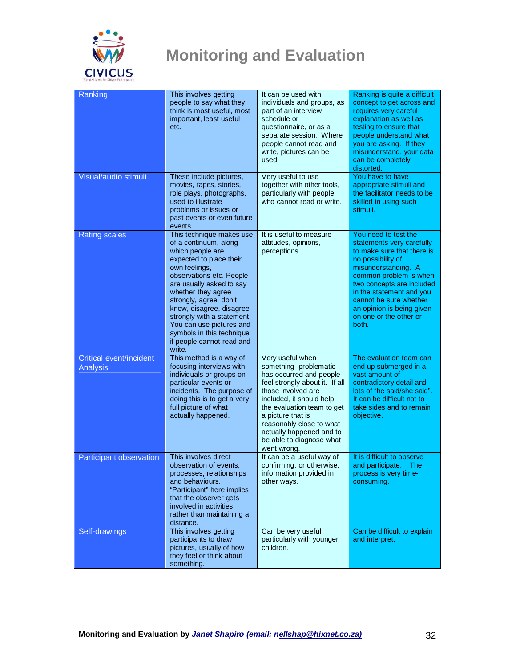

| Ranking                                    | This involves getting<br>people to say what they<br>think is most useful, most<br>important, least useful<br>etc.                                                                                                                                                                                                                                                                   | It can be used with<br>individuals and groups, as<br>part of an interview<br>schedule or<br>questionnaire, or as a<br>separate session. Where<br>people cannot read and<br>write, pictures can be<br>used.                                                                                                     | Ranking is quite a difficult<br>concept to get across and<br>requires very careful<br>explanation as well as<br>testing to ensure that<br>people understand what<br>you are asking. If they<br>misunderstand, your data<br>can be completely<br>distorted.                                               |
|--------------------------------------------|-------------------------------------------------------------------------------------------------------------------------------------------------------------------------------------------------------------------------------------------------------------------------------------------------------------------------------------------------------------------------------------|----------------------------------------------------------------------------------------------------------------------------------------------------------------------------------------------------------------------------------------------------------------------------------------------------------------|----------------------------------------------------------------------------------------------------------------------------------------------------------------------------------------------------------------------------------------------------------------------------------------------------------|
| Visual/audio stimuli                       | These include pictures,<br>movies, tapes, stories,<br>role plays, photographs,<br>used to illustrate<br>problems or issues or<br>past events or even future<br>events.                                                                                                                                                                                                              | Very useful to use<br>together with other tools,<br>particularly with people<br>who cannot read or write.                                                                                                                                                                                                      | You have to have<br>appropriate stimuli and<br>the facilitator needs to be<br>skilled in using such<br>stimuli.                                                                                                                                                                                          |
| <b>Rating scales</b>                       | This technique makes use<br>of a continuum, along<br>which people are<br>expected to place their<br>own feelings,<br>observations etc. People<br>are usually asked to say<br>whether they agree<br>strongly, agree, don't<br>know, disagree, disagree<br>strongly with a statement.<br>You can use pictures and<br>symbols in this technique<br>if people cannot read and<br>write. | It is useful to measure<br>attitudes, opinions,<br>perceptions.                                                                                                                                                                                                                                                | You need to test the<br>statements very carefully<br>to make sure that there is<br>no possibility of<br>misunderstanding. A<br>common problem is when<br>two concepts are included<br>in the statement and you<br>cannot be sure whether<br>an opinion is being given<br>on one or the other or<br>both. |
| Critical event/incident<br><b>Analysis</b> | This method is a way of<br>focusing interviews with<br>individuals or groups on<br>particular events or<br>incidents. The purpose of<br>doing this is to get a very<br>full picture of what<br>actually happened.                                                                                                                                                                   | Very useful when<br>something problematic<br>has occurred and people<br>feel strongly about it. If all<br>those involved are<br>included, it should help<br>the evaluation team to get<br>a picture that is<br>reasonably close to what<br>actually happened and to<br>be able to diagnose what<br>went wrong. | The evaluation team can<br>end up submerged in a<br>vast amount of<br>contradictory detail and<br>lots of "he said/she said".<br>It can be difficult not to<br>take sides and to remain<br>objective.                                                                                                    |
| <b>Participant observation</b>             | This involves direct<br>observation of events,<br>processes, relationships<br>and behaviours.<br>"Participant" here implies<br>that the observer gets<br>involved in activities<br>rather than maintaining a<br>distance.                                                                                                                                                           | It can be a useful way of<br>confirming, or otherwise,<br>information provided in<br>other ways.                                                                                                                                                                                                               | It is difficult to observe<br>and participate. The<br>process is very time-<br>consuming.                                                                                                                                                                                                                |
| Self-drawings                              | This involves getting<br>participants to draw<br>pictures, usually of how<br>they feel or think about<br>something.                                                                                                                                                                                                                                                                 | Can be very useful,<br>particularly with younger<br>children.                                                                                                                                                                                                                                                  | Can be difficult to explain<br>and interpret.                                                                                                                                                                                                                                                            |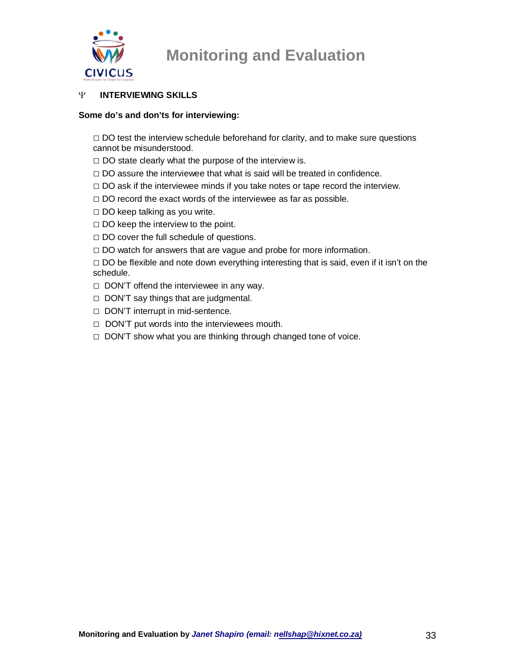

### Ψ **INTERVIEWING SKILLS**

#### **Some do's and don'ts for interviewing:**

 $\Box$  DO test the interview schedule beforehand for clarity, and to make sure questions cannot be misunderstood.

- $\square$  DO state clearly what the purpose of the interview is.
- $\Box$  DO assure the interviewee that what is said will be treated in confidence.
- $\Box$  DO ask if the interviewee minds if you take notes or tape record the interview.
- $\Box$  DO record the exact words of the interviewee as far as possible.
- $\square$  DO keep talking as you write.
- $\square$  DO keep the interview to the point.
- $\Box$  DO cover the full schedule of questions.
- $\Box$  DO watch for answers that are vague and probe for more information.

 $\Box$  DO be flexible and note down everything interesting that is said, even if it isn't on the schedule.

- $\Box$  DON'T offend the interviewee in any way.
- $\Box$  DON'T say things that are judgmental.
- □ DON'T interrupt in mid-sentence.
- □ DON'T put words into the interviewees mouth.
- $\Box$  DON'T show what you are thinking through changed tone of voice.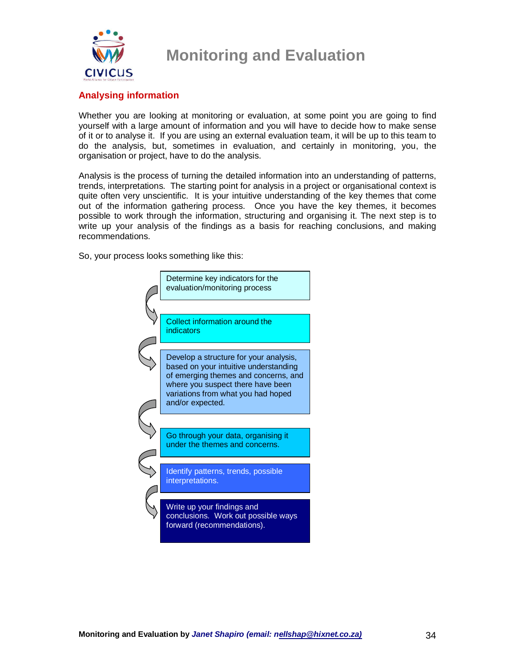

### **Analysing information**

Whether you are looking at monitoring or evaluation, at some point you are going to find yourself with a large amount of information and you will have to decide how to make sense of it or to analyse it. If you are using an external evaluation team, it will be up to this team to do the analysis, but, sometimes in evaluation, and certainly in monitoring, you, the organisation or project, have to do the analysis.

Analysis is the process of turning the detailed information into an understanding of patterns, trends, interpretations. The starting point for analysis in a project or organisational context is quite often very unscientific. It is your intuitive understanding of the key themes that come out of the information gathering process. Once you have the key themes, it becomes possible to work through the information, structuring and organising it. The next step is to write up your analysis of the findings as a basis for reaching conclusions, and making recommendations.

So, your process looks something like this:

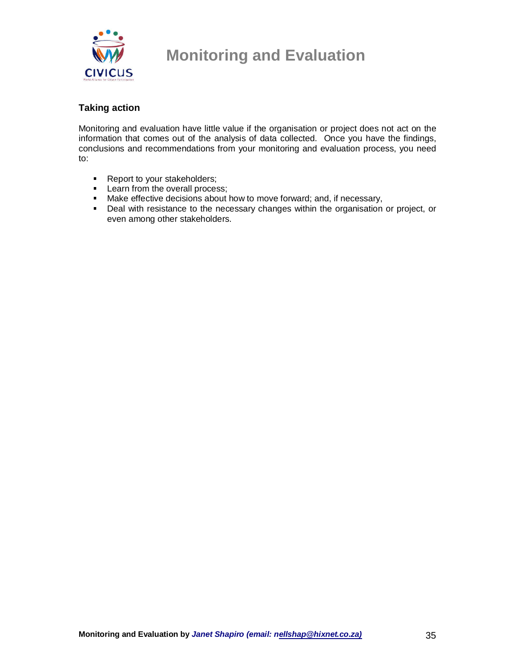

### **Taking action**

Monitoring and evaluation have little value if the organisation or project does not act on the information that comes out of the analysis of data collected. Once you have the findings, conclusions and recommendations from your monitoring and evaluation process, you need to:

- Report to your stakeholders;
- **Learn from the overall process;**
- Make effective decisions about how to move forward; and, if necessary,
- Deal with resistance to the necessary changes within the organisation or project, or even among other stakeholders.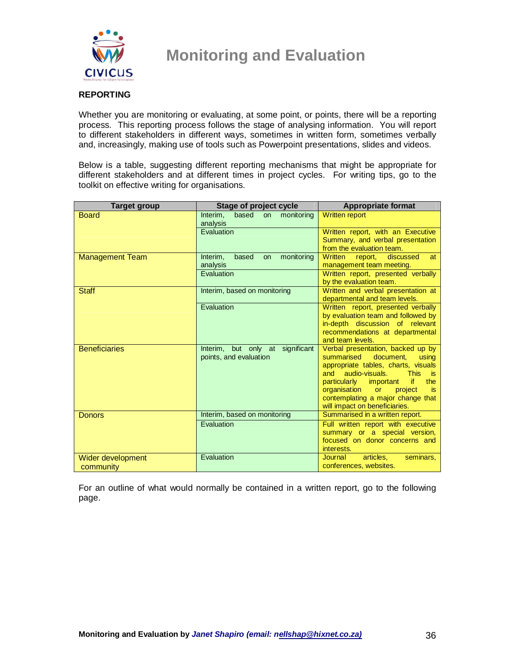

#### **REPORTING**

Whether you are monitoring or evaluating, at some point, or points, there will be a reporting process. This reporting process follows the stage of analysing information. You will report to different stakeholders in different ways, sometimes in written form, sometimes verbally and, increasingly, making use of tools such as Powerpoint presentations, slides and videos.

Below is a table, suggesting different reporting mechanisms that might be appropriate for different stakeholders and at different times in project cycles. For writing tips, go to the toolkit on effective writing for organisations.

| <b>Target group</b>  | Stage of project cycle                            | <b>Appropriate format</b>                                           |
|----------------------|---------------------------------------------------|---------------------------------------------------------------------|
| <b>Board</b>         | based<br>monitoring<br>Interim,<br>on<br>analysis | <b>Written report</b>                                               |
|                      | Evaluation                                        | Written report, with an Executive                                   |
|                      |                                                   | Summary, and verbal presentation<br>from the evaluation team.       |
| Management Team      | Interim,<br>based<br>monitoring<br><b>on</b>      | Written<br>discussed<br>report,<br>at                               |
|                      | analysis                                          | management team meeting.                                            |
|                      | Evaluation                                        | Written report, presented verbally<br>by the evaluation team.       |
| <b>Staff</b>         | Interim, based on monitoring                      | Written and verbal presentation at<br>departmental and team levels. |
|                      | Evaluation                                        | Written report, presented verbally                                  |
|                      |                                                   | by evaluation team and followed by                                  |
|                      |                                                   | in-depth discussion of relevant                                     |
|                      |                                                   | recommendations at departmental<br>and team levels.                 |
| <b>Beneficiaries</b> | Interim, but only at significant                  | Verbal presentation, backed up by                                   |
|                      | points, and evaluation                            | document.<br>summarised<br>usina                                    |
|                      |                                                   | appropriate tables, charts, visuals                                 |
|                      |                                                   | audio-visuals.<br>and<br><b>This</b><br>is                          |
|                      |                                                   | particularly important<br>if.<br>the                                |
|                      |                                                   | organisation<br>project<br><b>or</b><br>is.                         |
|                      |                                                   | contemplating a major change that<br>will impact on beneficiaries.  |
| <b>Donors</b>        | Interim, based on monitoring                      | Summarised in a written report.                                     |
|                      | Evaluation                                        | Full written report with executive                                  |
|                      |                                                   | summary or a special version,                                       |
|                      |                                                   | focused on donor concerns and<br>interests.                         |
| Wider development    | Evaluation                                        | articles.<br>Journal<br>seminars.                                   |
| community            |                                                   | conferences, websites.                                              |

For an outline of what would normally be contained in a written report, go to the following page.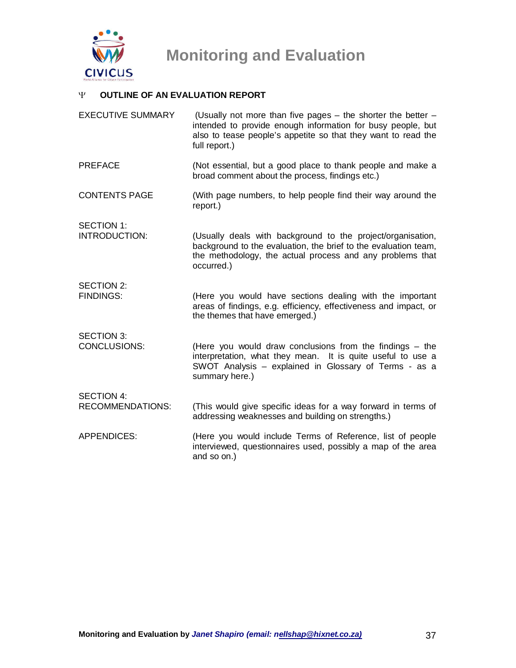

### Ψ **OUTLINE OF AN EVALUATION REPORT**

| <b>EXECUTIVE SUMMARY</b>                     | (Usually not more than five pages - the shorter the better -<br>intended to provide enough information for busy people, but<br>also to tease people's appetite so that they want to read the<br>full report.) |
|----------------------------------------------|---------------------------------------------------------------------------------------------------------------------------------------------------------------------------------------------------------------|
| <b>PREFACE</b>                               | (Not essential, but a good place to thank people and make a<br>broad comment about the process, findings etc.)                                                                                                |
| <b>CONTENTS PAGE</b>                         | (With page numbers, to help people find their way around the<br>report.)                                                                                                                                      |
| <b>SECTION 1:</b><br>INTRODUCTION:           | (Usually deals with background to the project/organisation,<br>background to the evaluation, the brief to the evaluation team,<br>the methodology, the actual process and any problems that<br>occurred.)     |
| SECTION 2:<br><b>FINDINGS:</b>               | (Here you would have sections dealing with the important<br>areas of findings, e.g. efficiency, effectiveness and impact, or<br>the themes that have emerged.)                                                |
| <b>SECTION 3:</b><br>CONCLUSIONS:            | (Here you would draw conclusions from the findings $-$ the<br>interpretation, what they mean. It is quite useful to use a<br>SWOT Analysis - explained in Glossary of Terms - as a<br>summary here.)          |
| <b>SECTION 4:</b><br><b>RECOMMENDATIONS:</b> | (This would give specific ideas for a way forward in terms of<br>addressing weaknesses and building on strengths.)                                                                                            |
| <b>APPENDICES:</b>                           | (Here you would include Terms of Reference, list of people<br>interviewed, questionnaires used, possibly a map of the area<br>and so on.)                                                                     |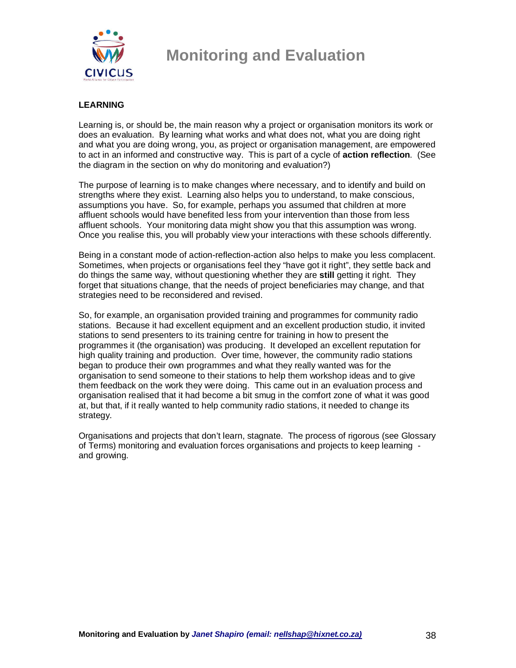

### **LEARNING**

Learning is, or should be, the main reason why a project or organisation monitors its work or does an evaluation. By learning what works and what does not, what you are doing right and what you are doing wrong, you, as project or organisation management, are empowered to act in an informed and constructive way. This is part of a cycle of **action reflection**. (See the diagram in the section on why do monitoring and evaluation?)

The purpose of learning is to make changes where necessary, and to identify and build on strengths where they exist. Learning also helps you to understand, to make conscious, assumptions you have. So, for example, perhaps you assumed that children at more affluent schools would have benefited less from your intervention than those from less affluent schools. Your monitoring data might show you that this assumption was wrong. Once you realise this, you will probably view your interactions with these schools differently.

Being in a constant mode of action-reflection-action also helps to make you less complacent. Sometimes, when projects or organisations feel they "have got it right", they settle back and do things the same way, without questioning whether they are **still** getting it right. They forget that situations change, that the needs of project beneficiaries may change, and that strategies need to be reconsidered and revised.

So, for example, an organisation provided training and programmes for community radio stations. Because it had excellent equipment and an excellent production studio, it invited stations to send presenters to its training centre for training in how to present the programmes it (the organisation) was producing. It developed an excellent reputation for high quality training and production. Over time, however, the community radio stations began to produce their own programmes and what they really wanted was for the organisation to send someone to their stations to help them workshop ideas and to give them feedback on the work they were doing. This came out in an evaluation process and organisation realised that it had become a bit smug in the comfort zone of what it was good at, but that, if it really wanted to help community radio stations, it needed to change its strategy.

Organisations and projects that don't learn, stagnate. The process of rigorous (see Glossary of Terms) monitoring and evaluation forces organisations and projects to keep learning and growing.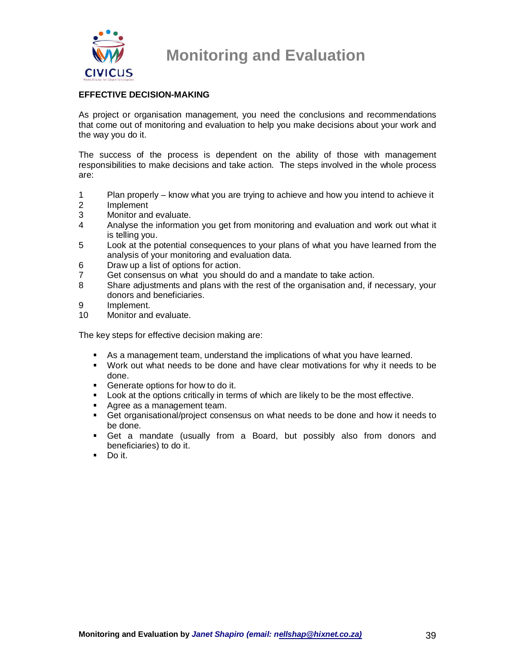

### **EFFECTIVE DECISION-MAKING**

As project or organisation management, you need the conclusions and recommendations that come out of monitoring and evaluation to help you make decisions about your work and the way you do it.

The success of the process is dependent on the ability of those with management responsibilities to make decisions and take action. The steps involved in the whole process are:

- 1 Plan properly know what you are trying to achieve and how you intend to achieve it
- 2 Implement
- 3 Monitor and evaluate.
- 4 Analyse the information you get from monitoring and evaluation and work out what it is telling you.
- 5 Look at the potential consequences to your plans of what you have learned from the analysis of your monitoring and evaluation data.
- 6 Draw up a list of options for action.
- 7 Get consensus on what you should do and a mandate to take action.
- 8 Share adjustments and plans with the rest of the organisation and, if necessary, your donors and beneficiaries.
- 9 Implement.<br>10 Monitor and
- Monitor and evaluate.

The key steps for effective decision making are:

- As a management team, understand the implications of what you have learned.
- Work out what needs to be done and have clear motivations for why it needs to be done.
- Generate options for how to do it.
- **Look at the options critically in terms of which are likely to be the most effective.**
- Agree as a management team.
- Get organisational/project consensus on what needs to be done and how it needs to be done.
- Get a mandate (usually from a Board, but possibly also from donors and beneficiaries) to do it.
- $\blacksquare$  Do it.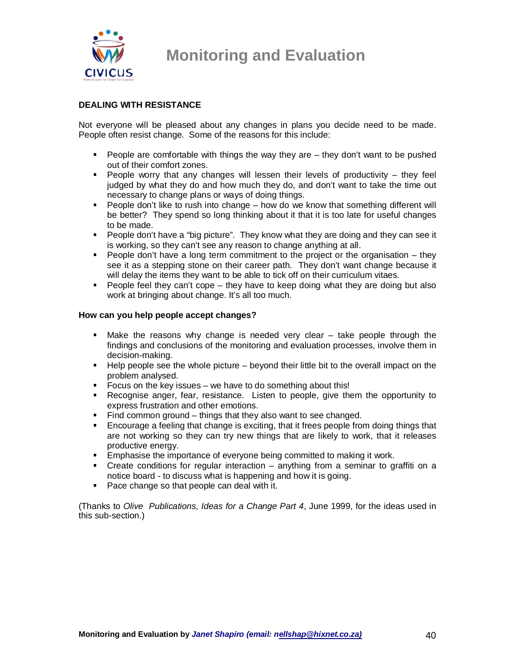

#### **DEALING WITH RESISTANCE**

Not everyone will be pleased about any changes in plans you decide need to be made. People often resist change. Some of the reasons for this include:

- **People are comfortable with things the way they are they don't want to be pushed** out of their comfort zones.
- **People worry that any changes will lessen their levels of productivity they feel** judged by what they do and how much they do, and don't want to take the time out necessary to change plans or ways of doing things.
- **People don't like to rush into change how do we know that something different will** be better? They spend so long thinking about it that it is too late for useful changes to be made.
- People don't have a "big picture". They know what they are doing and they can see it is working, so they can't see any reason to change anything at all.
- People don't have a long term commitment to the project or the organisation  $-$  they see it as a stepping stone on their career path. They don't want change because it will delay the items they want to be able to tick off on their curriculum vitaes.
- **People feel they can't cope they have to keep doing what they are doing but also** work at bringing about change. It's all too much.

#### **How can you help people accept changes?**

- Make the reasons why change is needed very clear take people through the findings and conclusions of the monitoring and evaluation processes, involve them in decision-making.
- $\blacksquare$  Help people see the whole picture beyond their little bit to the overall impact on the problem analysed.
- Focus on the key issues we have to do something about this!<br>Fecognise anger, fear, resistance. Listen to people, give the
- Recognise anger, fear, resistance. Listen to people, give them the opportunity to express frustration and other emotions.
- Find common ground things that they also want to see changed.
- **Encourage a feeling that change is exciting, that it frees people from doing things that** are not working so they can try new things that are likely to work, that it releases productive energy.
- **Emphasise the importance of everyone being committed to making it work.**
- Create conditions for regular interaction anything from a seminar to graffiti on a notice board - to discuss what is happening and how it is going.
- Pace change so that people can deal with it.

(Thanks to Olive Publications, Ideas for a Change Part 4, June 1999, for the ideas used in this sub-section.)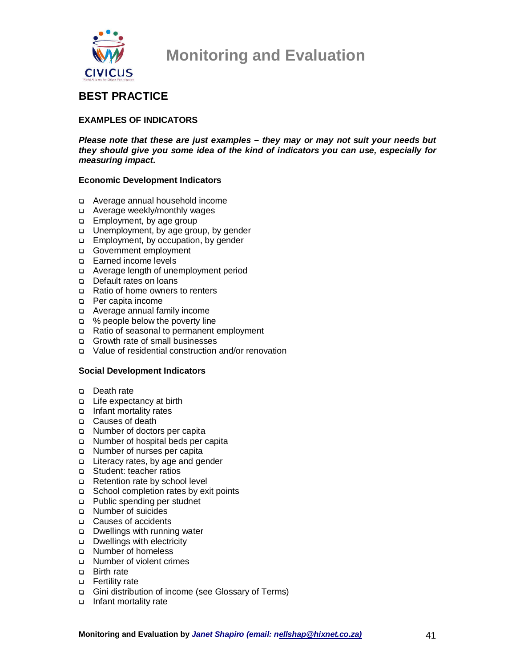

### **BEST PRACTICE**

### **EXAMPLES OF INDICATORS**

**Please note that these are just examples – they may or may not suit your needs but they should give you some idea of the kind of indicators you can use, especially for measuring impact.** 

#### **Economic Development Indicators**

- Average annual household income
- Average weekly/monthly wages
- **Employment, by age group**
- □ Unemployment, by age group, by gender
- Employment, by occupation, by gender
- Government employment
- □ Earned income levels
- Average length of unemployment period
- Default rates on loans
- Ratio of home owners to renters
- □ Per capita income
- Average annual family income
- □ % people below the poverty line
- Ratio of seasonal to permanent employment
- □ Growth rate of small businesses
- Value of residential construction and/or renovation

#### **Social Development Indicators**

- Death rate
- □ Life expectancy at birth
- Infant mortality rates
- □ Causes of death
- Number of doctors per capita
- Number of hospital beds per capita
- □ Number of nurses per capita
- □ Literacy rates, by age and gender
- □ Student: teacher ratios
- Retention rate by school level
- School completion rates by exit points
- p Public spending per studnet
- □ Number of suicides
- □ Causes of accidents
- □ Dwellings with running water
- Dwellings with electricity
- Number of homeless
- Number of violent crimes
- □ Birth rate
- □ Fertility rate
- Gini distribution of income (see Glossary of Terms)
- Infant mortality rate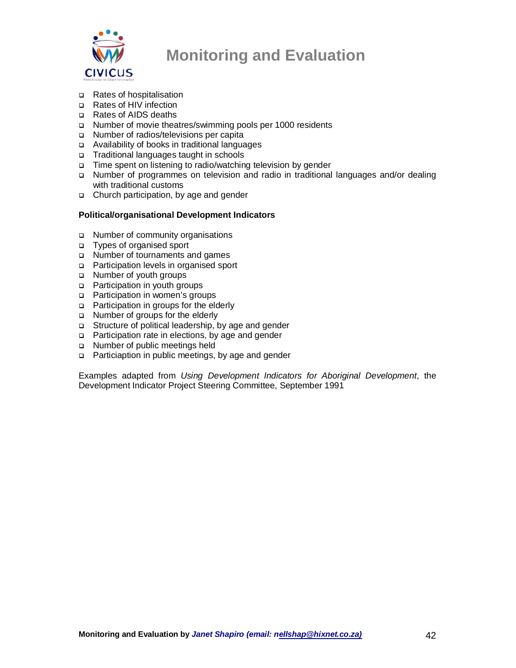

- Rates of hospitalisation
- □ Rates of HIV infection
- Rates of AIDS deaths
- Number of movie theatres/swimming pools per 1000 residents
- Number of radios/televisions per capita
- Availability of books in traditional languages
- Traditional languages taught in schools
- Time spent on listening to radio/watching television by gender
- Number of programmes on television and radio in traditional languages and/or dealing with traditional customs
- Church participation, by age and gender

### **Political/organisational Development Indicators**

- □ Number of community organisations
- Types of organised sport
- Number of tournaments and games
- Participation levels in organised sport
- □ Number of youth groups
- □ Participation in youth groups
- □ Participation in women's groups
- **Participation in groups for the elderly**
- □ Number of groups for the elderly
- Structure of political leadership, by age and gender
- □ Participation rate in elections, by age and gender
- □ Number of public meetings held
- □ Particiaption in public meetings, by age and gender

Examples adapted from Using Development Indicators for Aboriginal Development, the Development Indicator Project Steering Committee, September 1991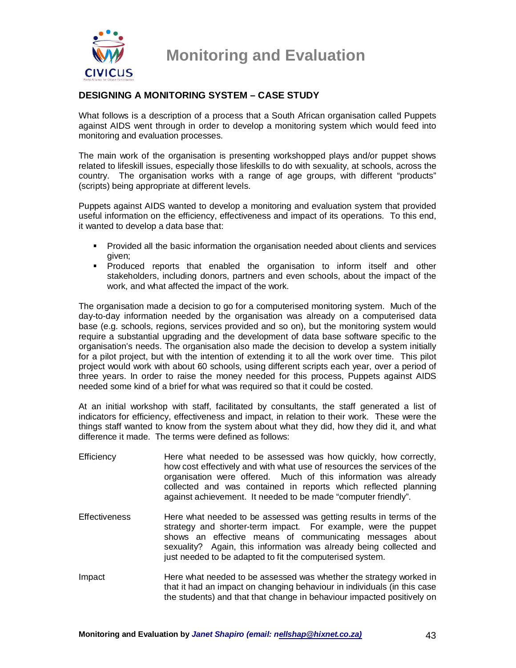

### **DESIGNING A MONITORING SYSTEM – CASE STUDY**

What follows is a description of a process that a South African organisation called Puppets against AIDS went through in order to develop a monitoring system which would feed into monitoring and evaluation processes.

The main work of the organisation is presenting workshopped plays and/or puppet shows related to lifeskill issues, especially those lifeskills to do with sexuality, at schools, across the country. The organisation works with a range of age groups, with different "products" (scripts) being appropriate at different levels.

Puppets against AIDS wanted to develop a monitoring and evaluation system that provided useful information on the efficiency, effectiveness and impact of its operations. To this end, it wanted to develop a data base that:

- **Provided all the basic information the organisation needed about clients and services** given;
- Produced reports that enabled the organisation to inform itself and other stakeholders, including donors, partners and even schools, about the impact of the work, and what affected the impact of the work.

The organisation made a decision to go for a computerised monitoring system. Much of the day-to-day information needed by the organisation was already on a computerised data base (e.g. schools, regions, services provided and so on), but the monitoring system would require a substantial upgrading and the development of data base software specific to the organisation's needs. The organisation also made the decision to develop a system initially for a pilot project, but with the intention of extending it to all the work over time. This pilot project would work with about 60 schools, using different scripts each year, over a period of three years. In order to raise the money needed for this process, Puppets against AIDS needed some kind of a brief for what was required so that it could be costed.

At an initial workshop with staff, facilitated by consultants, the staff generated a list of indicators for efficiency, effectiveness and impact, in relation to their work. These were the things staff wanted to know from the system about what they did, how they did it, and what difference it made. The terms were defined as follows:

- Efficiency Here what needed to be assessed was how quickly, how correctly, how cost effectively and with what use of resources the services of the organisation were offered. Much of this information was already collected and was contained in reports which reflected planning against achievement. It needed to be made "computer friendly".
- Effectiveness Here what needed to be assessed was getting results in terms of the strategy and shorter-term impact. For example, were the puppet shows an effective means of communicating messages about sexuality? Again, this information was already being collected and just needed to be adapted to fit the computerised system.
- Impact Here what needed to be assessed was whether the strategy worked in that it had an impact on changing behaviour in individuals (in this case the students) and that that change in behaviour impacted positively on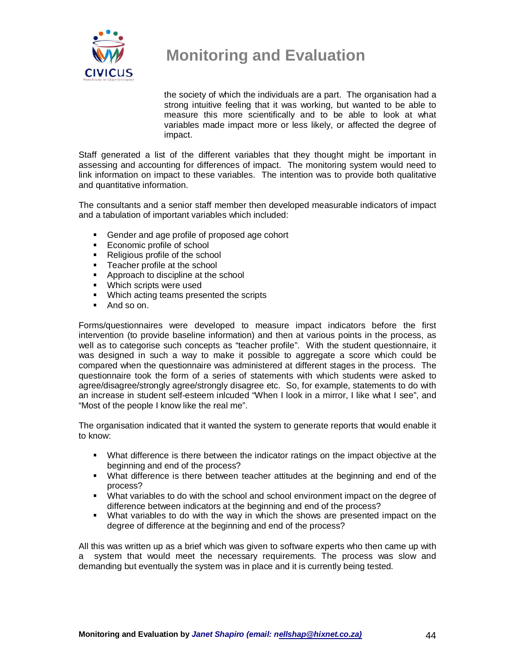

the society of which the individuals are a part. The organisation had a strong intuitive feeling that it was working, but wanted to be able to measure this more scientifically and to be able to look at what variables made impact more or less likely, or affected the degree of impact.

Staff generated a list of the different variables that they thought might be important in assessing and accounting for differences of impact. The monitoring system would need to link information on impact to these variables. The intention was to provide both qualitative and quantitative information.

The consultants and a senior staff member then developed measurable indicators of impact and a tabulation of important variables which included:

- Gender and age profile of proposed age cohort<br>Economic profile of school
- Economic profile of school
- Religious profile of the school
- **Teacher profile at the school**
- **Approach to discipline at the school**
- **Which scripts were used**
- **Which acting teams presented the scripts**
- And so on.

Forms/questionnaires were developed to measure impact indicators before the first intervention (to provide baseline information) and then at various points in the process, as well as to categorise such concepts as "teacher profile". With the student questionnaire, it was designed in such a way to make it possible to aggregate a score which could be compared when the questionnaire was administered at different stages in the process. The questionnaire took the form of a series of statements with which students were asked to agree/disagree/strongly agree/strongly disagree etc. So, for example, statements to do with an increase in student self-esteem inlcuded "When I look in a mirror, I like what I see", and "Most of the people I know like the real me".

The organisation indicated that it wanted the system to generate reports that would enable it to know:

- What difference is there between the indicator ratings on the impact objective at the beginning and end of the process?
- What difference is there between teacher attitudes at the beginning and end of the process?
- What variables to do with the school and school environment impact on the degree of difference between indicators at the beginning and end of the process?
- What variables to do with the way in which the shows are presented impact on the degree of difference at the beginning and end of the process?

All this was written up as a brief which was given to software experts who then came up with a system that would meet the necessary requirements. The process was slow and demanding but eventually the system was in place and it is currently being tested.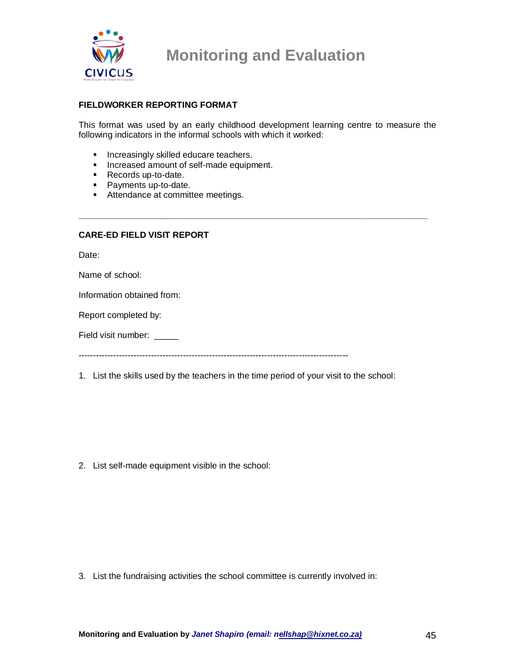

#### **FIELDWORKER REPORTING FORMAT**

This format was used by an early childhood development learning centre to measure the following indicators in the informal schools with which it worked:

**\_\_\_\_\_\_\_\_\_\_\_\_\_\_\_\_\_\_\_\_\_\_\_\_\_\_\_\_\_\_\_\_\_\_\_\_\_\_\_\_\_\_\_\_\_\_\_\_\_\_\_\_\_\_\_\_\_\_\_\_\_\_\_\_\_\_\_\_\_\_\_\_** 

- **Increasingly skilled educare teachers.**
- **Increased amount of self-made equipment.**
- Records up-to-date.
- **Payments up-to-date.**
- **Attendance at committee meetings.**

#### **CARE-ED FIELD VISIT REPORT**

Date:

Name of school:

Information obtained from:

Report completed by:

Field visit number:

---------------------------------------------------------------------------------------------

1. List the skills used by the teachers in the time period of your visit to the school:

2. List self-made equipment visible in the school:

3. List the fundraising activities the school committee is currently involved in: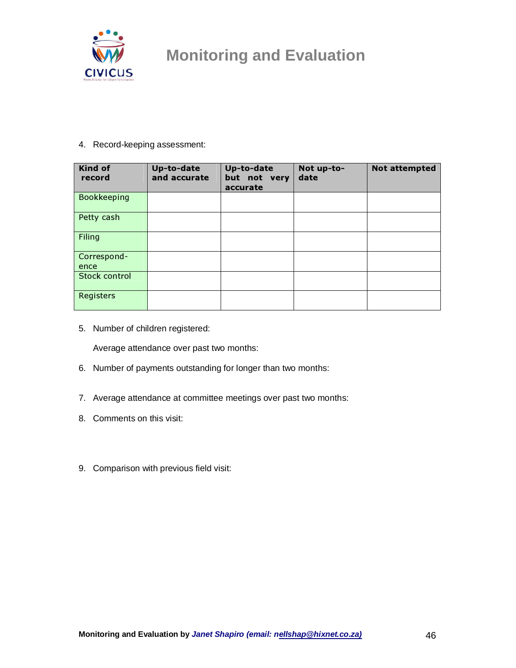

#### 4. Record-keeping assessment:

| <b>Kind of</b><br>record | Up-to-date<br>and accurate | Up-to-date<br>but not very<br>accurate | Not up-to-<br>date | <b>Not attempted</b> |
|--------------------------|----------------------------|----------------------------------------|--------------------|----------------------|
| Bookkeeping              |                            |                                        |                    |                      |
| Petty cash               |                            |                                        |                    |                      |
| Filing                   |                            |                                        |                    |                      |
| Correspond-              |                            |                                        |                    |                      |
| ence                     |                            |                                        |                    |                      |
| Stock control            |                            |                                        |                    |                      |
| Registers                |                            |                                        |                    |                      |

5. Number of children registered:

Average attendance over past two months:

- 6. Number of payments outstanding for longer than two months:
- 7. Average attendance at committee meetings over past two months:
- 8. Comments on this visit:
- 9. Comparison with previous field visit: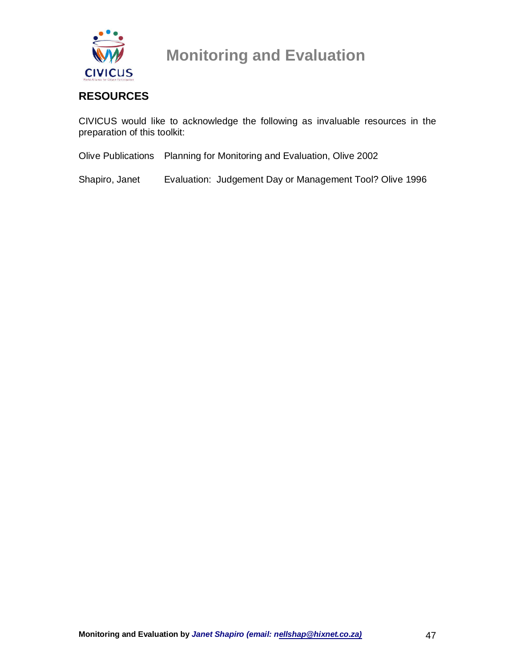

### **RESOURCES**

CIVICUS would like to acknowledge the following as invaluable resources in the preparation of this toolkit:

Olive Publications Planning for Monitoring and Evaluation, Olive 2002

Shapiro, Janet Evaluation: Judgement Day or Management Tool? Olive 1996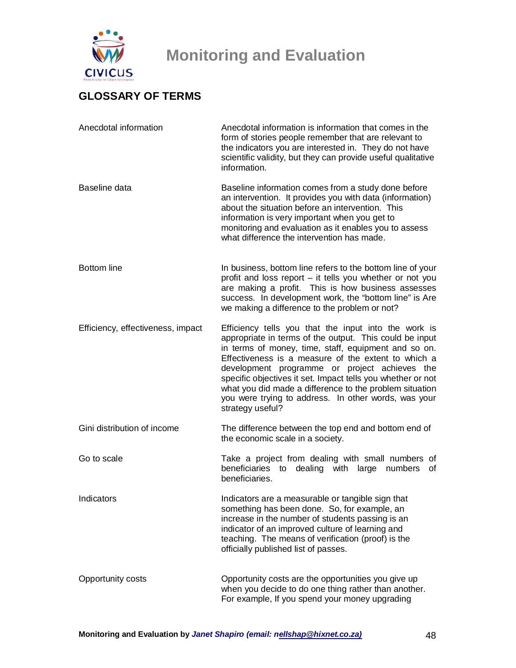

### **GLOSSARY OF TERMS**

| Anecdotal information             | Anecdotal information is information that comes in the<br>form of stories people remember that are relevant to<br>the indicators you are interested in. They do not have<br>scientific validity, but they can provide useful qualitative<br>information.                                                                                                                                                                                                                              |
|-----------------------------------|---------------------------------------------------------------------------------------------------------------------------------------------------------------------------------------------------------------------------------------------------------------------------------------------------------------------------------------------------------------------------------------------------------------------------------------------------------------------------------------|
| Baseline data                     | Baseline information comes from a study done before<br>an intervention. It provides you with data (information)<br>about the situation before an intervention. This<br>information is very important when you get to<br>monitoring and evaluation as it enables you to assess<br>what difference the intervention has made.                                                                                                                                                           |
| <b>Bottom</b> line                | In business, bottom line refers to the bottom line of your<br>profit and loss report - it tells you whether or not you<br>are making a profit. This is how business assesses<br>success. In development work, the "bottom line" is Are<br>we making a difference to the problem or not?                                                                                                                                                                                               |
| Efficiency, effectiveness, impact | Efficiency tells you that the input into the work is<br>appropriate in terms of the output. This could be input<br>in terms of money, time, staff, equipment and so on.<br>Effectiveness is a measure of the extent to which a<br>development programme or project achieves the<br>specific objectives it set. Impact tells you whether or not<br>what you did made a difference to the problem situation<br>you were trying to address. In other words, was your<br>strategy useful? |
| Gini distribution of income       | The difference between the top end and bottom end of<br>the economic scale in a society.                                                                                                                                                                                                                                                                                                                                                                                              |
| Go to scale                       | Take a project from dealing with small numbers of<br>beneficiaries to dealing with large numbers<br>of<br>beneficiaries.                                                                                                                                                                                                                                                                                                                                                              |
| Indicators                        | Indicators are a measurable or tangible sign that<br>something has been done. So, for example, an<br>increase in the number of students passing is an<br>indicator of an improved culture of learning and<br>teaching. The means of verification (proof) is the<br>officially published list of passes.                                                                                                                                                                               |
| Opportunity costs                 | Opportunity costs are the opportunities you give up<br>when you decide to do one thing rather than another.<br>For example, If you spend your money upgrading                                                                                                                                                                                                                                                                                                                         |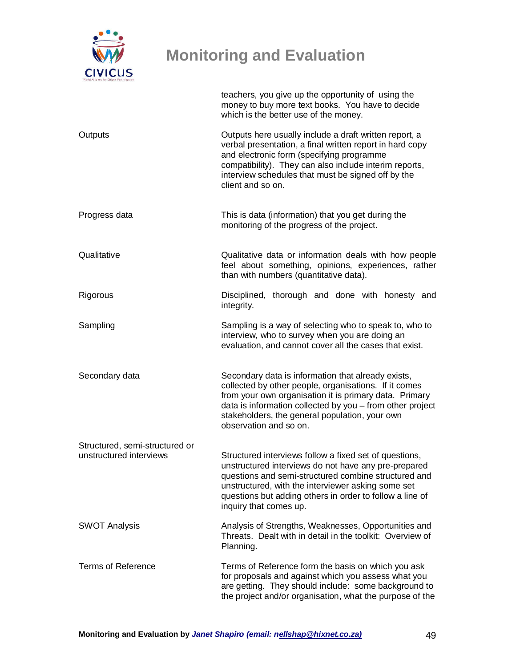

|                                                           | teachers, you give up the opportunity of using the<br>money to buy more text books. You have to decide<br>which is the better use of the money.                                                                                                                                                                    |
|-----------------------------------------------------------|--------------------------------------------------------------------------------------------------------------------------------------------------------------------------------------------------------------------------------------------------------------------------------------------------------------------|
| Outputs                                                   | Outputs here usually include a draft written report, a<br>verbal presentation, a final written report in hard copy<br>and electronic form (specifying programme<br>compatibility). They can also include interim reports,<br>interview schedules that must be signed off by the<br>client and so on.               |
| Progress data                                             | This is data (information) that you get during the<br>monitoring of the progress of the project.                                                                                                                                                                                                                   |
| Qualitative                                               | Qualitative data or information deals with how people<br>feel about something, opinions, experiences, rather<br>than with numbers (quantitative data).                                                                                                                                                             |
| Rigorous                                                  | Disciplined, thorough and done with honesty and<br>integrity.                                                                                                                                                                                                                                                      |
| Sampling                                                  | Sampling is a way of selecting who to speak to, who to<br>interview, who to survey when you are doing an<br>evaluation, and cannot cover all the cases that exist.                                                                                                                                                 |
| Secondary data                                            | Secondary data is information that already exists,<br>collected by other people, organisations. If it comes<br>from your own organisation it is primary data. Primary<br>data is information collected by you - from other project<br>stakeholders, the general population, your own<br>observation and so on.     |
| Structured, semi-structured or<br>unstructured interviews | Structured interviews follow a fixed set of questions,<br>unstructured interviews do not have any pre-prepared<br>questions and semi-structured combine structured and<br>unstructured, with the interviewer asking some set<br>questions but adding others in order to follow a line of<br>inquiry that comes up. |
| <b>SWOT Analysis</b>                                      | Analysis of Strengths, Weaknesses, Opportunities and<br>Threats. Dealt with in detail in the toolkit: Overview of<br>Planning.                                                                                                                                                                                     |
| Terms of Reference                                        | Terms of Reference form the basis on which you ask<br>for proposals and against which you assess what you<br>are getting. They should include: some background to<br>the project and/or organisation, what the purpose of the                                                                                      |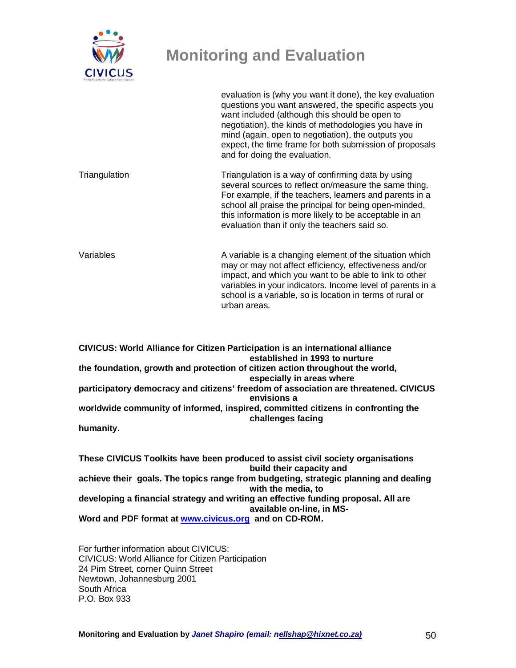

evaluation is (why you want it done), the key evaluation questions you want answered, the specific aspects you want included (although this should be open to negotiation), the kinds of methodologies you have in mind (again, open to negotiation), the outputs you expect, the time frame for both submission of proposals and for doing the evaluation.

Triangulation Triangulation is a way of confirming data by using several sources to reflect on/measure the same thing. For example, if the teachers, learners and parents in a school all praise the principal for being open-minded, this information is more likely to be acceptable in an evaluation than if only the teachers said so.

Variables **A** variable is a changing element of the situation which may or may not affect efficiency, effectiveness and/or impact, and which you want to be able to link to other variables in your indicators. Income level of parents in a school is a variable, so is location in terms of rural or urban areas.

**CIVICUS: World Alliance for Citizen Participation is an international alliance established in 1993 to nurture the foundation, growth and protection of citizen action throughout the world, especially in areas where participatory democracy and citizens' freedom of association are threatened. CIVICUS envisions a worldwide community of informed, inspired, committed citizens in confronting the challenges facing humanity.** 

**These CIVICUS Toolkits have been produced to assist civil society organisations build their capacity and achieve their goals. The topics range from budgeting, strategic planning and dealing with the media, to developing a financial strategy and writing an effective funding proposal. All are available on-line, in MS-Word and PDF format at www.civicus.org and on CD-ROM.** 

For further information about CIVICUS: CIVICUS: World Alliance for Citizen Participation 24 Pim Street, corner Quinn Street Newtown, Johannesburg 2001 South Africa P.O. Box 933